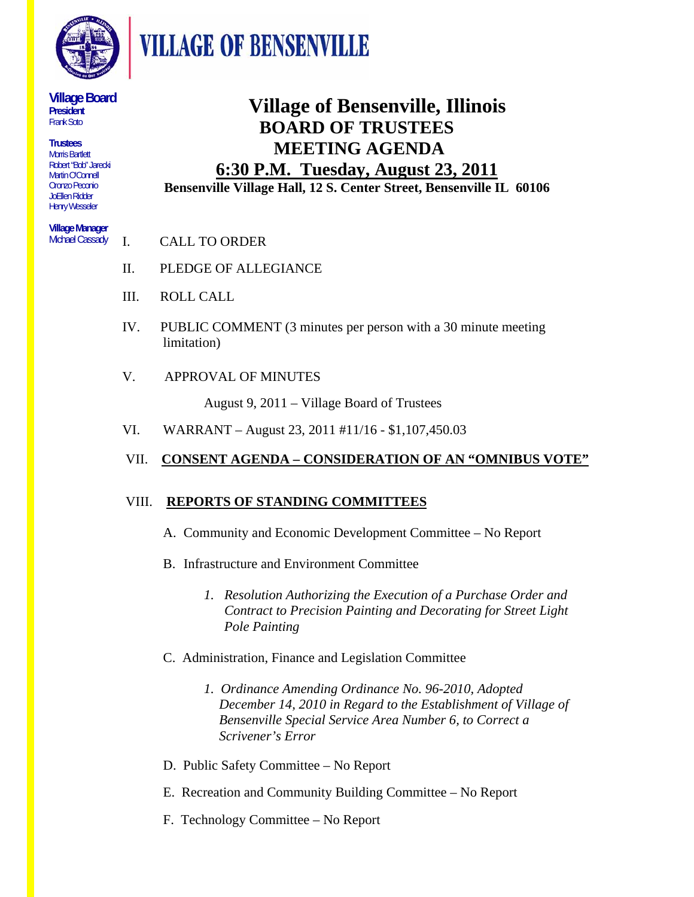

**VILLAGE OF BENSENVILLE** 

#### **Village Board President**  Frank Soto

**Trustees**  Morris Bartlett Robert "Bob" Jarecki Martin O'Connell Oronzo Peconio JoEllen Ridder Henry Wesseler

#### **Village Manager**  Michael Cassady

**Village of Bensenville, Illinois BOARD OF TRUSTEES MEETING AGENDA** 

#### **6:30 P.M. Tuesday, August 23, 2011 Bensenville Village Hall, 12 S. Center Street, Bensenville IL 60106**

- I. CALL TO ORDER
- II. PLEDGE OF ALLEGIANCE
- III. ROLL CALL
- IV. PUBLIC COMMENT (3 minutes per person with a 30 minute meeting limitation)
- V. APPROVAL OF MINUTES

August 9, 2011 – Village Board of Trustees

VI. WARRANT – August 23, 2011 #11/16 - \$1,107,450.03

#### VII. **CONSENT AGENDA – CONSIDERATION OF AN "OMNIBUS VOTE"**

#### VIII. **REPORTS OF STANDING COMMITTEES**

- A. Community and Economic Development Committee No Report
- B. Infrastructure and Environment Committee
	- *1. Resolution Authorizing the Execution of a Purchase Order and Contract to Precision Painting and Decorating for Street Light Pole Painting*
- C. Administration, Finance and Legislation Committee
	- *1. Ordinance Amending Ordinance No. 96-2010, Adopted December 14, 2010 in Regard to the Establishment of Village of Bensenville Special Service Area Number 6, to Correct a Scrivener's Error*
- D. Public Safety Committee No Report
- E. Recreation and Community Building Committee No Report
- F. Technology Committee No Report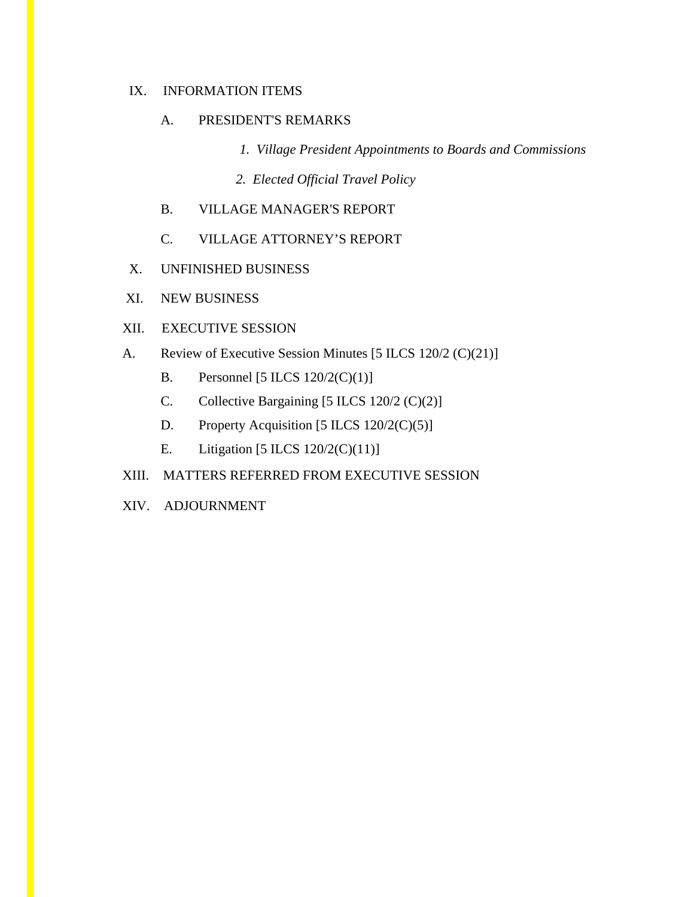#### IX. INFORMATION ITEMS

#### A. PRESIDENT'S REMARKS

- *1. Village President Appointments to Boards and Commissions*
- *2. Elected Official Travel Policy*
- B. VILLAGE MANAGER'S REPORT
- C. VILLAGE ATTORNEY'S REPORT
- X. UNFINISHED BUSINESS
- XI. NEW BUSINESS

#### XII. EXECUTIVE SESSION

- A. Review of Executive Session Minutes [5 ILCS 120/2 (C)(21)]
	- B. Personnel [5 ILCS 120/2(C)(1)]
	- C. Collective Bargaining [5 ILCS 120/2 (C)(2)]
	- D. Property Acquisition [5 ILCS 120/2(C)(5)]
	- E. Litigation [5 ILCS 120/2(C)(11)]

#### XIII. MATTERS REFERRED FROM EXECUTIVE SESSION

XIV. ADJOURNMENT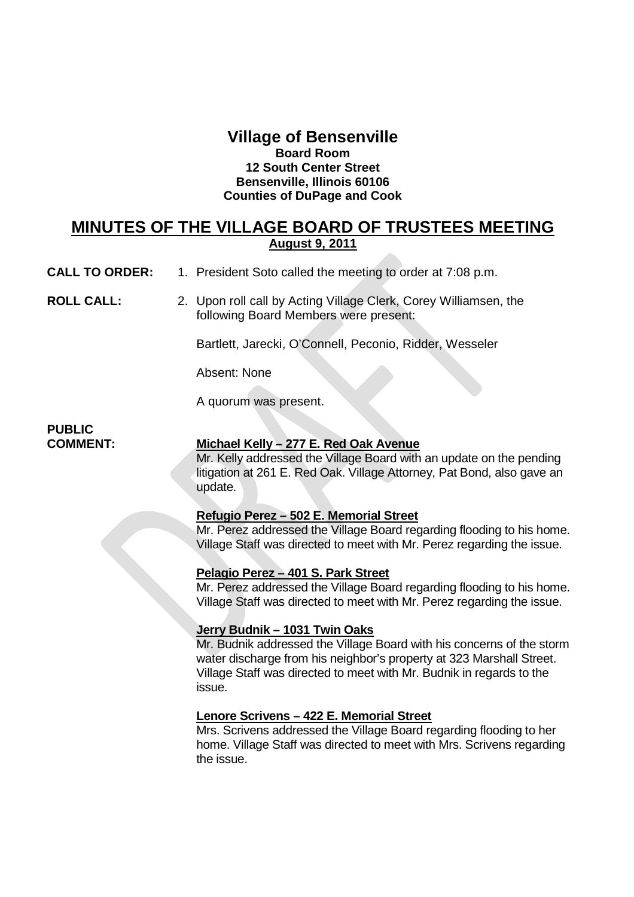#### **Village of Bensenville Board Room 12 South Center Street Bensenville, Illinois 60106 Counties of DuPage and Cook**

#### **MINUTES OF THE VILLAGE BOARD OF TRUSTEES MEETING August 9, 2011**

**CALL TO ORDER:** 1. President Soto called the meeting to order at 7:08 p.m.

**ROLL CALL:** 2. Upon roll call by Acting Village Clerk, Corey Williamsen, the following Board Members were present:

Bartlett, Jarecki, O'Connell, Peconio, Ridder, Wesseler

Absent: None

A quorum was present.

## **PUBLIC**

#### **COMMENT: Michael Kelly – 277 E. Red Oak Avenue**

Mr. Kelly addressed the Village Board with an update on the pending litigation at 261 E. Red Oak. Village Attorney, Pat Bond, also gave an update.

#### **Refugio Perez – 502 E. Memorial Street**

Mr. Perez addressed the Village Board regarding flooding to his home. Village Staff was directed to meet with Mr. Perez regarding the issue.

#### **Pelagio Perez – 401 S. Park Street**

Mr. Perez addressed the Village Board regarding flooding to his home. Village Staff was directed to meet with Mr. Perez regarding the issue.

#### **Jerry Budnik – 1031 Twin Oaks**

Mr. Budnik addressed the Village Board with his concerns of the storm water discharge from his neighbor's property at 323 Marshall Street. Village Staff was directed to meet with Mr. Budnik in regards to the issue.

#### **Lenore Scrivens – 422 E. Memorial Street**

Mrs. Scrivens addressed the Village Board regarding flooding to her home. Village Staff was directed to meet with Mrs. Scrivens regarding the issue.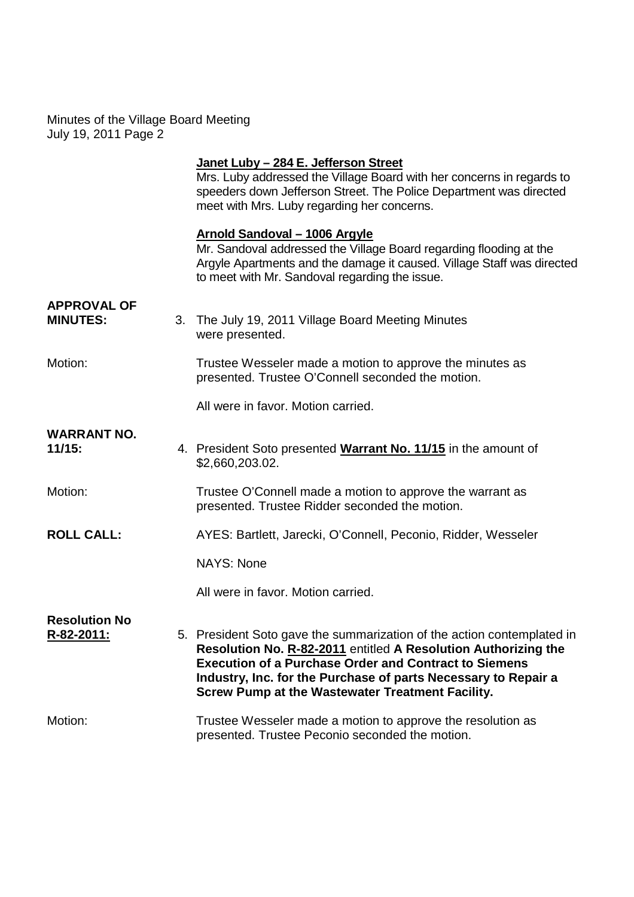#### **Janet Luby – 284 E. Jefferson Street**

Mrs. Luby addressed the Village Board with her concerns in regards to speeders down Jefferson Street. The Police Department was directed meet with Mrs. Luby regarding her concerns.

#### **Arnold Sandoval – 1006 Argyle**

Mr. Sandoval addressed the Village Board regarding flooding at the Argyle Apartments and the damage it caused. Village Staff was directed to meet with Mr. Sandoval regarding the issue.

| <b>APPROVAL OF</b><br><b>MINUTES:</b> | 3. The July 19, 2011 Village Board Meeting Minutes<br>were presented.                                                                                                                                                                                                                                                                 |
|---------------------------------------|---------------------------------------------------------------------------------------------------------------------------------------------------------------------------------------------------------------------------------------------------------------------------------------------------------------------------------------|
| Motion:                               | Trustee Wesseler made a motion to approve the minutes as<br>presented. Trustee O'Connell seconded the motion.                                                                                                                                                                                                                         |
|                                       | All were in favor. Motion carried.                                                                                                                                                                                                                                                                                                    |
| <b>WARRANT NO.</b><br>11/15:          | 4. President Soto presented Warrant No. 11/15 in the amount of<br>\$2,660,203.02.                                                                                                                                                                                                                                                     |
| Motion:                               | Trustee O'Connell made a motion to approve the warrant as<br>presented. Trustee Ridder seconded the motion.                                                                                                                                                                                                                           |
| <b>ROLL CALL:</b>                     | AYES: Bartlett, Jarecki, O'Connell, Peconio, Ridder, Wesseler                                                                                                                                                                                                                                                                         |
|                                       | NAYS: None                                                                                                                                                                                                                                                                                                                            |
|                                       | All were in favor. Motion carried.                                                                                                                                                                                                                                                                                                    |
| <b>Resolution No</b><br>R-82-2011:    | 5. President Soto gave the summarization of the action contemplated in<br>Resolution No. R-82-2011 entitled A Resolution Authorizing the<br><b>Execution of a Purchase Order and Contract to Siemens</b><br>Industry, Inc. for the Purchase of parts Necessary to Repair a<br><b>Screw Pump at the Wastewater Treatment Facility.</b> |
| Motion:                               | Trustee Wesseler made a motion to approve the resolution as<br>presented. Trustee Peconio seconded the motion.                                                                                                                                                                                                                        |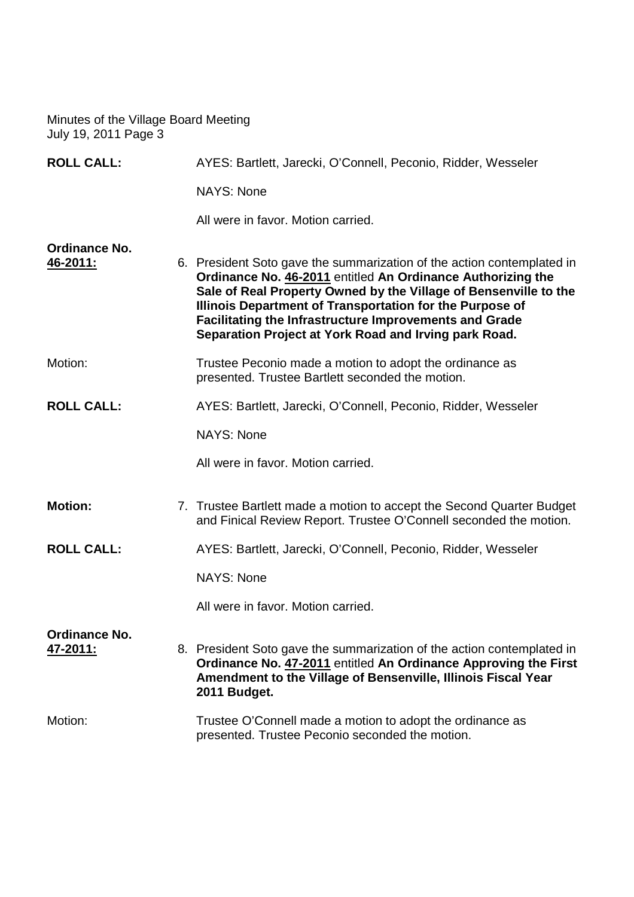| <b>ROLL CALL:</b>                |  | AYES: Bartlett, Jarecki, O'Connell, Peconio, Ridder, Wesseler                                                                                                                                                                                                                                                                                                                                   |  |
|----------------------------------|--|-------------------------------------------------------------------------------------------------------------------------------------------------------------------------------------------------------------------------------------------------------------------------------------------------------------------------------------------------------------------------------------------------|--|
|                                  |  | <b>NAYS: None</b>                                                                                                                                                                                                                                                                                                                                                                               |  |
|                                  |  | All were in favor. Motion carried.                                                                                                                                                                                                                                                                                                                                                              |  |
| <b>Ordinance No.</b><br>46-2011: |  | 6. President Soto gave the summarization of the action contemplated in<br>Ordinance No. 46-2011 entitled An Ordinance Authorizing the<br>Sale of Real Property Owned by the Village of Bensenville to the<br>Illinois Department of Transportation for the Purpose of<br><b>Facilitating the Infrastructure Improvements and Grade</b><br>Separation Project at York Road and Irving park Road. |  |
| Motion:                          |  | Trustee Peconio made a motion to adopt the ordinance as<br>presented. Trustee Bartlett seconded the motion.                                                                                                                                                                                                                                                                                     |  |
| <b>ROLL CALL:</b>                |  | AYES: Bartlett, Jarecki, O'Connell, Peconio, Ridder, Wesseler                                                                                                                                                                                                                                                                                                                                   |  |
|                                  |  | <b>NAYS: None</b>                                                                                                                                                                                                                                                                                                                                                                               |  |
|                                  |  | All were in favor. Motion carried.                                                                                                                                                                                                                                                                                                                                                              |  |
| <b>Motion:</b>                   |  | 7. Trustee Bartlett made a motion to accept the Second Quarter Budget<br>and Finical Review Report. Trustee O'Connell seconded the motion.                                                                                                                                                                                                                                                      |  |
| <b>ROLL CALL:</b>                |  | AYES: Bartlett, Jarecki, O'Connell, Peconio, Ridder, Wesseler                                                                                                                                                                                                                                                                                                                                   |  |
|                                  |  | <b>NAYS: None</b>                                                                                                                                                                                                                                                                                                                                                                               |  |
|                                  |  | All were in favor. Motion carried.                                                                                                                                                                                                                                                                                                                                                              |  |
| Ordinance No.<br><u>47-2011:</u> |  | 8. President Soto gave the summarization of the action contemplated in<br>Ordinance No. 47-2011 entitled An Ordinance Approving the First<br>Amendment to the Village of Bensenville, Illinois Fiscal Year<br>2011 Budget.                                                                                                                                                                      |  |
| Motion:                          |  | Trustee O'Connell made a motion to adopt the ordinance as<br>presented. Trustee Peconio seconded the motion.                                                                                                                                                                                                                                                                                    |  |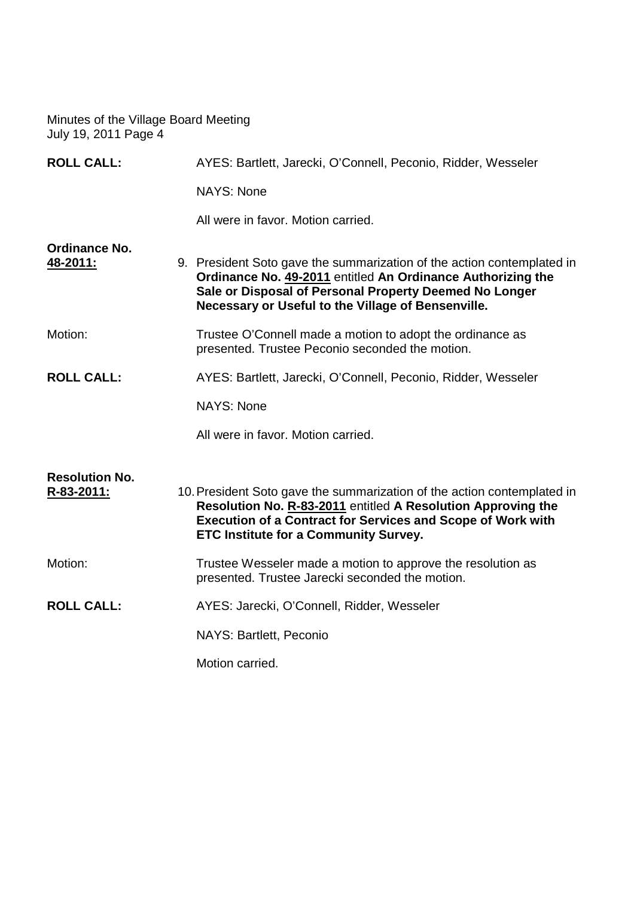| <b>ROLL CALL:</b>                   | AYES: Bartlett, Jarecki, O'Connell, Peconio, Ridder, Wesseler                                                                                                                                                                                                 |  |
|-------------------------------------|---------------------------------------------------------------------------------------------------------------------------------------------------------------------------------------------------------------------------------------------------------------|--|
|                                     | <b>NAYS: None</b>                                                                                                                                                                                                                                             |  |
|                                     | All were in favor. Motion carried.                                                                                                                                                                                                                            |  |
| <b>Ordinance No.</b><br>48-2011:    | 9. President Soto gave the summarization of the action contemplated in<br>Ordinance No. 49-2011 entitled An Ordinance Authorizing the<br>Sale or Disposal of Personal Property Deemed No Longer<br>Necessary or Useful to the Village of Bensenville.         |  |
| Motion:                             | Trustee O'Connell made a motion to adopt the ordinance as<br>presented. Trustee Peconio seconded the motion.                                                                                                                                                  |  |
| <b>ROLL CALL:</b>                   | AYES: Bartlett, Jarecki, O'Connell, Peconio, Ridder, Wesseler                                                                                                                                                                                                 |  |
|                                     | <b>NAYS: None</b>                                                                                                                                                                                                                                             |  |
|                                     | All were in favor. Motion carried.                                                                                                                                                                                                                            |  |
| <b>Resolution No.</b><br>R-83-2011: | 10. President Soto gave the summarization of the action contemplated in<br>Resolution No. R-83-2011 entitled A Resolution Approving the<br><b>Execution of a Contract for Services and Scope of Work with</b><br><b>ETC Institute for a Community Survey.</b> |  |
| Motion:                             | Trustee Wesseler made a motion to approve the resolution as<br>presented. Trustee Jarecki seconded the motion.                                                                                                                                                |  |
| <b>ROLL CALL:</b>                   | AYES: Jarecki, O'Connell, Ridder, Wesseler                                                                                                                                                                                                                    |  |
|                                     | NAYS: Bartlett, Peconio                                                                                                                                                                                                                                       |  |
|                                     | Motion carried.                                                                                                                                                                                                                                               |  |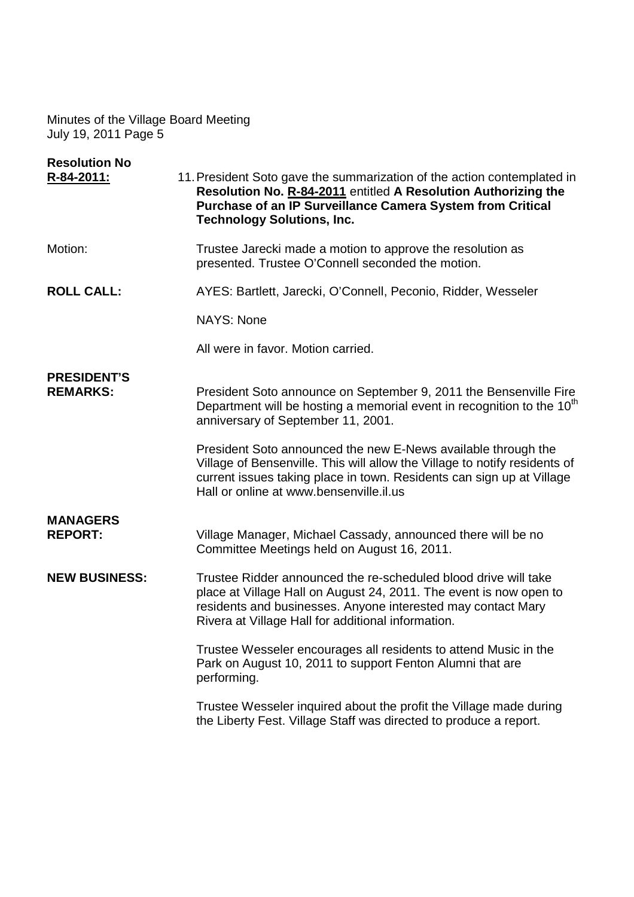| <b>Resolution No</b><br>R-84-2011:    | 11. President Soto gave the summarization of the action contemplated in<br>Resolution No. R-84-2011 entitled A Resolution Authorizing the<br><b>Purchase of an IP Surveillance Camera System from Critical</b><br><b>Technology Solutions, Inc.</b>             |  |
|---------------------------------------|-----------------------------------------------------------------------------------------------------------------------------------------------------------------------------------------------------------------------------------------------------------------|--|
| Motion:                               | Trustee Jarecki made a motion to approve the resolution as<br>presented. Trustee O'Connell seconded the motion.                                                                                                                                                 |  |
| <b>ROLL CALL:</b>                     | AYES: Bartlett, Jarecki, O'Connell, Peconio, Ridder, Wesseler                                                                                                                                                                                                   |  |
|                                       | <b>NAYS: None</b>                                                                                                                                                                                                                                               |  |
|                                       | All were in favor. Motion carried.                                                                                                                                                                                                                              |  |
| <b>PRESIDENT'S</b><br><b>REMARKS:</b> | President Soto announce on September 9, 2011 the Bensenville Fire<br>Department will be hosting a memorial event in recognition to the 10 <sup>th</sup><br>anniversary of September 11, 2001.                                                                   |  |
|                                       | President Soto announced the new E-News available through the<br>Village of Bensenville. This will allow the Village to notify residents of<br>current issues taking place in town. Residents can sign up at Village<br>Hall or online at www.bensenville.il.us |  |
| <b>MANAGERS</b><br><b>REPORT:</b>     | Village Manager, Michael Cassady, announced there will be no<br>Committee Meetings held on August 16, 2011.                                                                                                                                                     |  |
| <b>NEW BUSINESS:</b>                  | Trustee Ridder announced the re-scheduled blood drive will take<br>place at Village Hall on August 24, 2011. The event is now open to<br>residents and businesses. Anyone interested may contact Mary<br>Rivera at Village Hall for additional information.     |  |
|                                       | Trustee Wesseler encourages all residents to attend Music in the<br>Park on August 10, 2011 to support Fenton Alumni that are<br>performing.                                                                                                                    |  |
|                                       | Trustee Wesseler inquired about the profit the Village made during<br>the Liberty Fest. Village Staff was directed to produce a report.                                                                                                                         |  |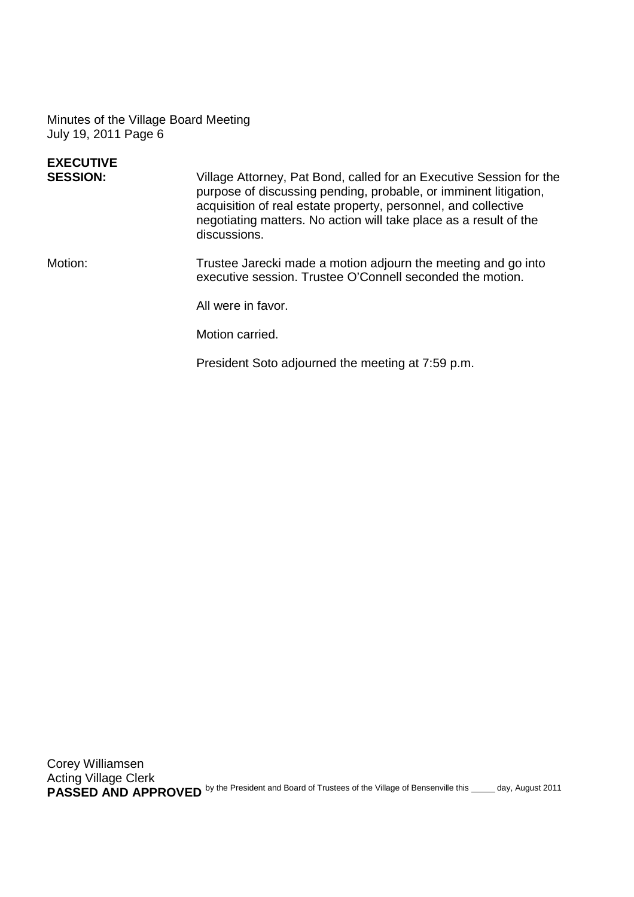| <b>EXECUTIVE</b> |                                                                                                                                                                                                                                                                                                |
|------------------|------------------------------------------------------------------------------------------------------------------------------------------------------------------------------------------------------------------------------------------------------------------------------------------------|
| <b>SESSION:</b>  | Village Attorney, Pat Bond, called for an Executive Session for the<br>purpose of discussing pending, probable, or imminent litigation,<br>acquisition of real estate property, personnel, and collective<br>negotiating matters. No action will take place as a result of the<br>discussions. |
| Motion:          | Trustee Jarecki made a motion adjourn the meeting and go into<br>executive session. Trustee O'Connell seconded the motion.                                                                                                                                                                     |
|                  | All were in favor.                                                                                                                                                                                                                                                                             |
|                  | Motion carried.                                                                                                                                                                                                                                                                                |
|                  | President Soto adjourned the meeting at 7:59 p.m.                                                                                                                                                                                                                                              |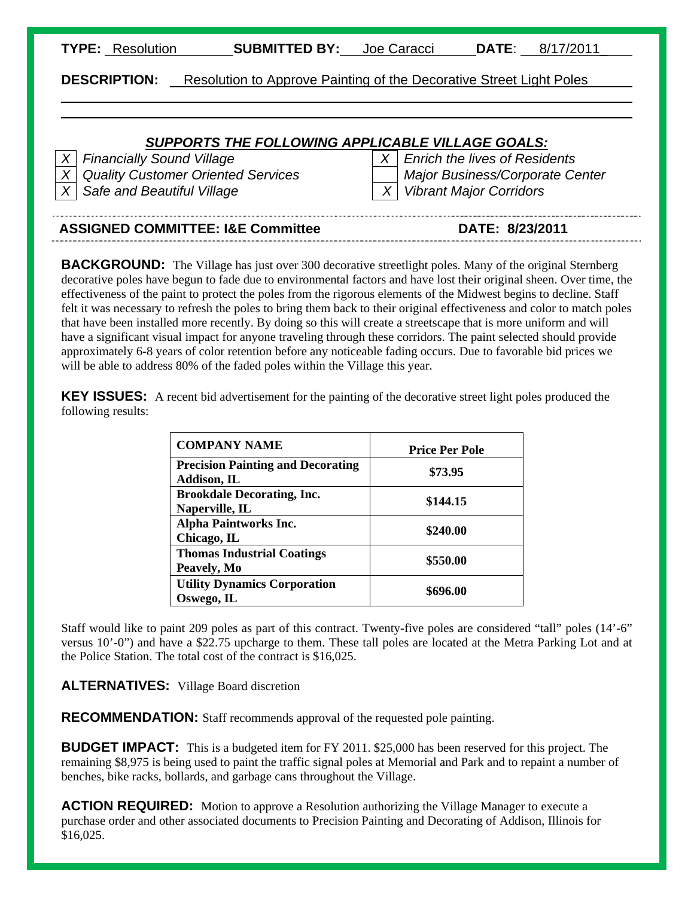| TYPE: | Resolution |
|-------|------------|
|       |            |

 $\overline{a}$ l **SUBMITTED BY:** Joe Caracci **DATE**: 8/17/2011

**DESCRIPTION:** Resolution to Approve Painting of the Decorative Street Light Poles

#### *SUPPORTS THE FOLLOWING APPLICABLE VILLAGE GOALS:*

*X* Safe and Beautiful Village X  $\mid$  *X* Vibrant Major Corridors

*X* Financially Sound Village X **X** Enrich the lives of Residents *X Quality Customer Oriented Services Major Business/Corporate Center* 

| DATE: 8/23/2011 |
|-----------------|
|                 |

**BACKGROUND:** The Village has just over 300 decorative streetlight poles. Many of the original Sternberg decorative poles have begun to fade due to environmental factors and have lost their original sheen. Over time, the effectiveness of the paint to protect the poles from the rigorous elements of the Midwest begins to decline. Staff felt it was necessary to refresh the poles to bring them back to their original effectiveness and color to match poles that have been installed more recently. By doing so this will create a streetscape that is more uniform and will have a significant visual impact for anyone traveling through these corridors. The paint selected should provide approximately 6-8 years of color retention before any noticeable fading occurs. Due to favorable bid prices we will be able to address 80% of the faded poles within the Village this year.

**KEY ISSUES:** A recent bid advertisement for the painting of the decorative street light poles produced the following results:

| <b>COMPANY NAME</b>                                     | <b>Price Per Pole</b> |
|---------------------------------------------------------|-----------------------|
| <b>Precision Painting and Decorating</b><br>Addison, IL | \$73.95               |
| <b>Brookdale Decorating, Inc.</b><br>Naperville, IL     | \$144.15              |
| <b>Alpha Paintworks Inc.</b><br>Chicago, IL             | \$240.00              |
| <b>Thomas Industrial Coatings</b><br>Peavely, Mo        | \$550.00              |
| <b>Utility Dynamics Corporation</b><br>Oswego, IL       | \$696.00              |

Staff would like to paint 209 poles as part of this contract. Twenty-five poles are considered "tall" poles (14'-6" versus 10'-0") and have a \$22.75 upcharge to them. These tall poles are located at the Metra Parking Lot and at the Police Station. The total cost of the contract is \$16,025.

**ALTERNATIVES:** Village Board discretion

**RECOMMENDATION:** Staff recommends approval of the requested pole painting.

**BUDGET IMPACT:** This is a budgeted item for FY 2011. \$25,000 has been reserved for this project. The remaining \$8,975 is being used to paint the traffic signal poles at Memorial and Park and to repaint a number of benches, bike racks, bollards, and garbage cans throughout the Village.

**ACTION REQUIRED:** Motion to approve a Resolution authorizing the Village Manager to execute a purchase order and other associated documents to Precision Painting and Decorating of Addison, Illinois for \$16,025.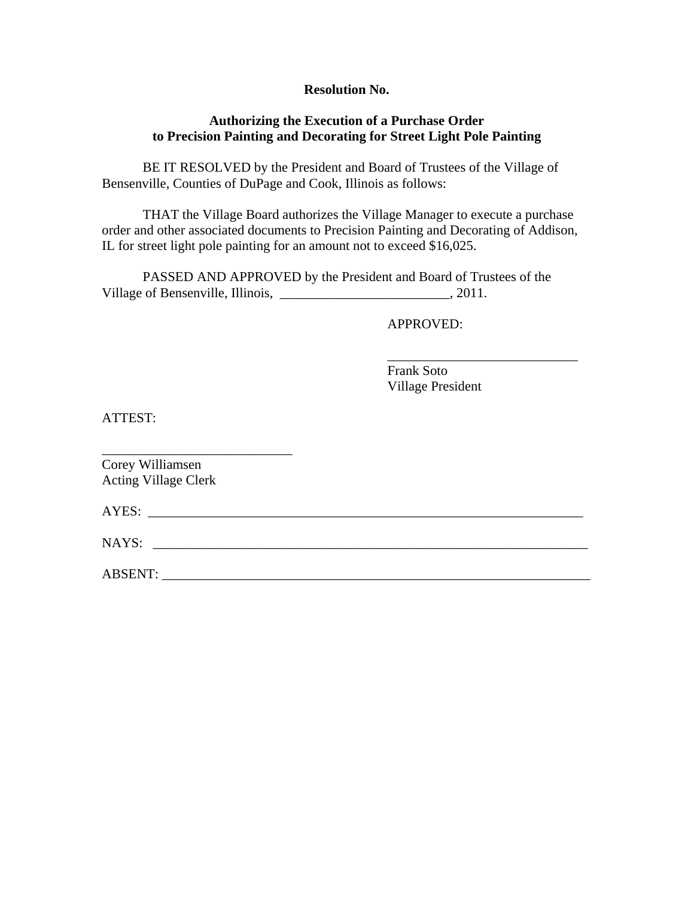#### **Resolution No.**

#### **Authorizing the Execution of a Purchase Order to Precision Painting and Decorating for Street Light Pole Painting**

BE IT RESOLVED by the President and Board of Trustees of the Village of Bensenville, Counties of DuPage and Cook, Illinois as follows:

 THAT the Village Board authorizes the Village Manager to execute a purchase order and other associated documents to Precision Painting and Decorating of Addison, IL for street light pole painting for an amount not to exceed \$16,025.

 $\overline{\phantom{a}}$  , and the contract of the contract of the contract of the contract of the contract of the contract of the contract of the contract of the contract of the contract of the contract of the contract of the contrac

 PASSED AND APPROVED by the President and Board of Trustees of the Village of Bensenville, Illinois, \_\_\_\_\_\_\_\_\_\_\_\_\_\_\_\_\_\_\_\_\_\_\_\_\_\_\_\_, 2011.

APPROVED:

 Frank Soto Village President

ATTEST:

| Corey Williamsen<br><b>Acting Village Clerk</b> |  |  |
|-------------------------------------------------|--|--|
|                                                 |  |  |
| NAYS: __                                        |  |  |
| ABSENT:                                         |  |  |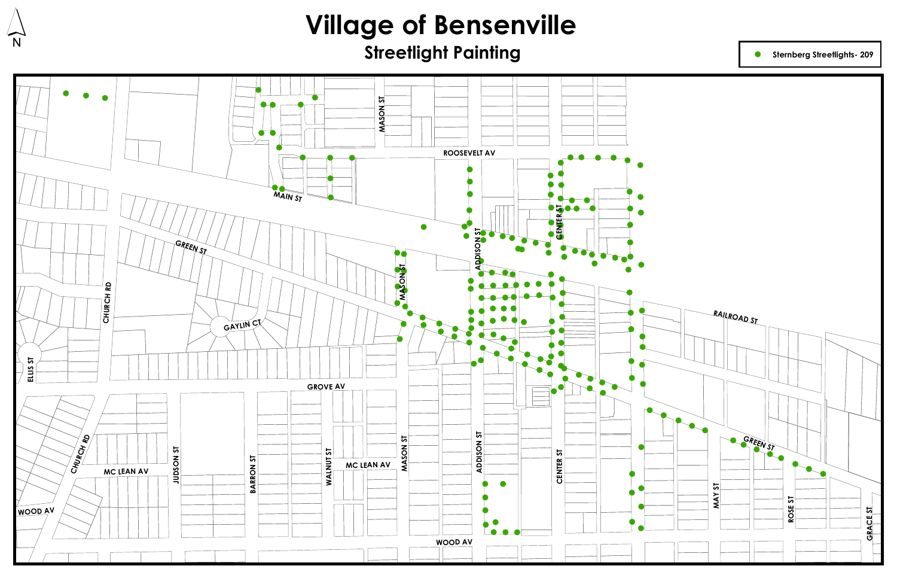



#### **Sternberg Streetlights- 209**



# **Village of Bensenville<br>Streetlight Painting**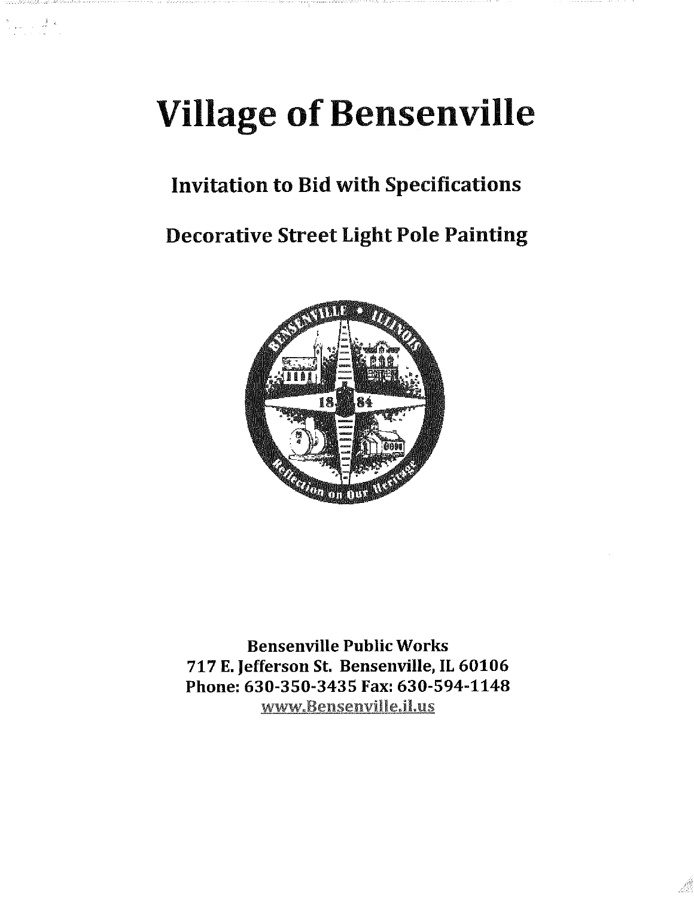# **Village of Bensenville**

 $\frac{1}{2}$  ,  $\frac{1}{2}$  ,  $\frac{1}{2}$  ,  $\frac{1}{2}$  ,  $\frac{1}{2}$ 

### **Invitation to Bid with Specifications**

### **Decorative Street Light Pole Painting**



**Bensenville Public Works** 717 E. Jefferson St. Bensenville, IL 60106 Phone: 630-350-3435 Fax: 630-594-1148 www.Bensenville.il.us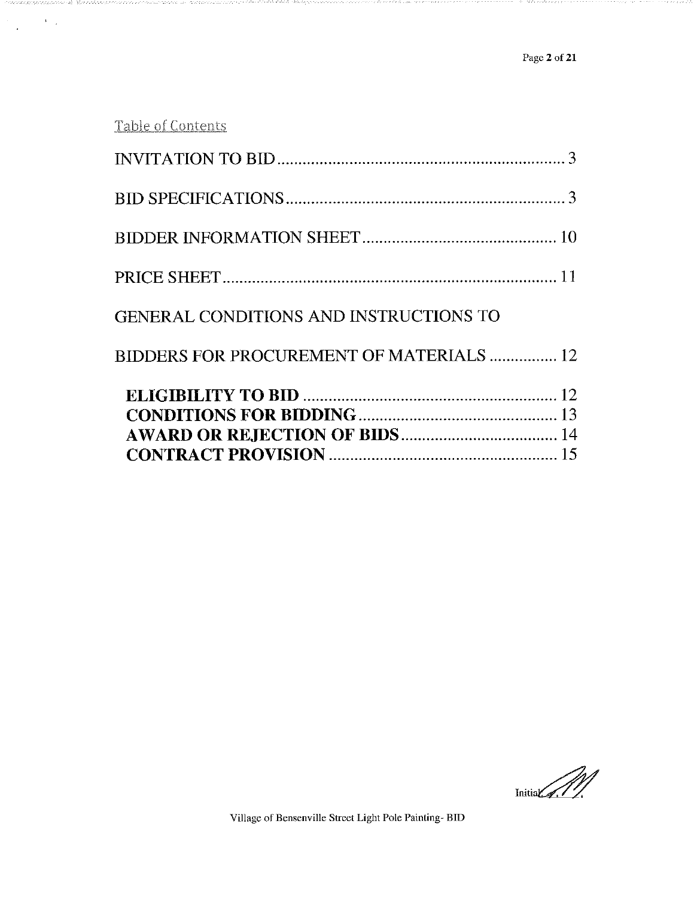Table of Contents

engga

| <b>BIDDERS FOR PROCUREMENT OF MATERIALS  12</b> |  |
|-------------------------------------------------|--|
| <b>GENERAL CONDITIONS AND INSTRUCTIONS TO</b>   |  |
|                                                 |  |
|                                                 |  |
|                                                 |  |
|                                                 |  |

 $\text{Initial} \left( \text{M} \right)$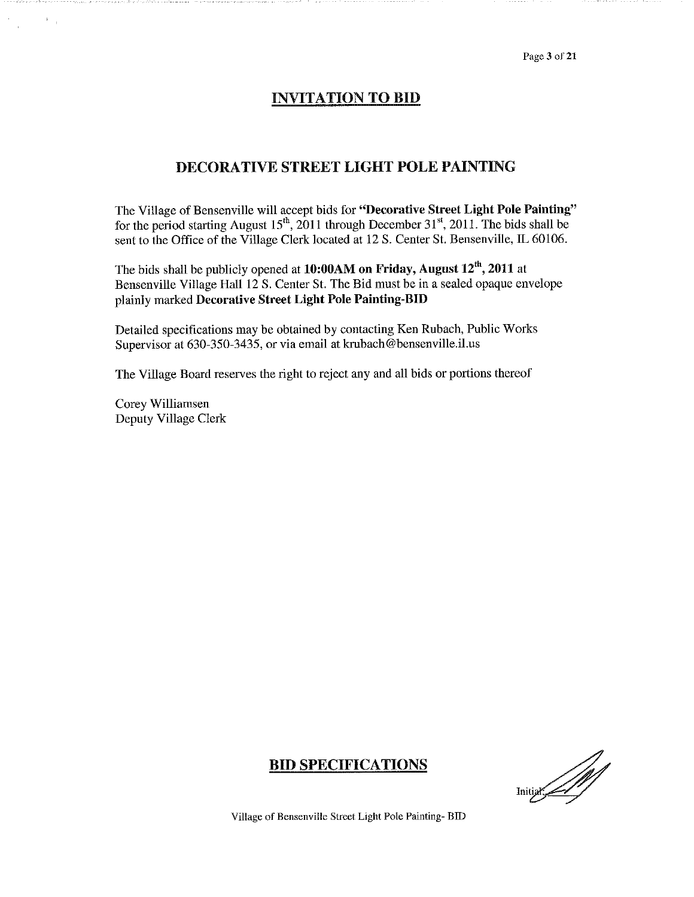Page 3 of 21

#### **INVITATION TO BID**

#### **DECORATIVE STREET LIGHT POLE PAINTING**

The Village of Bensenville will accept bids for "Decorative Street Light Pole Painting" for the period starting August  $15^{th}$ , 2011 through December 31<sup>st</sup>, 2011. The bids shall be sent to the Office of the Village Clerk located at 12 S. Center St. Bensenville, IL 60106.

The bids shall be publicly opened at  $10:00AM$  on Friday, August  $12<sup>th</sup>$ , 2011 at Bensenville Village Hall 12 S. Center St. The Bid must be in a sealed opaque envelope plainly marked Decorative Street Light Pole Painting-BID

Detailed specifications may be obtained by contacting Ken Rubach, Public Works Supervisor at 630-350-3435, or via email at krubach@bensenville.il.us

The Village Board reserves the right to reject any and all bids or portions thereof

Corey Williamsen Deputy Village Clerk

#### **BID SPECIFICATIONS**

Initial 1997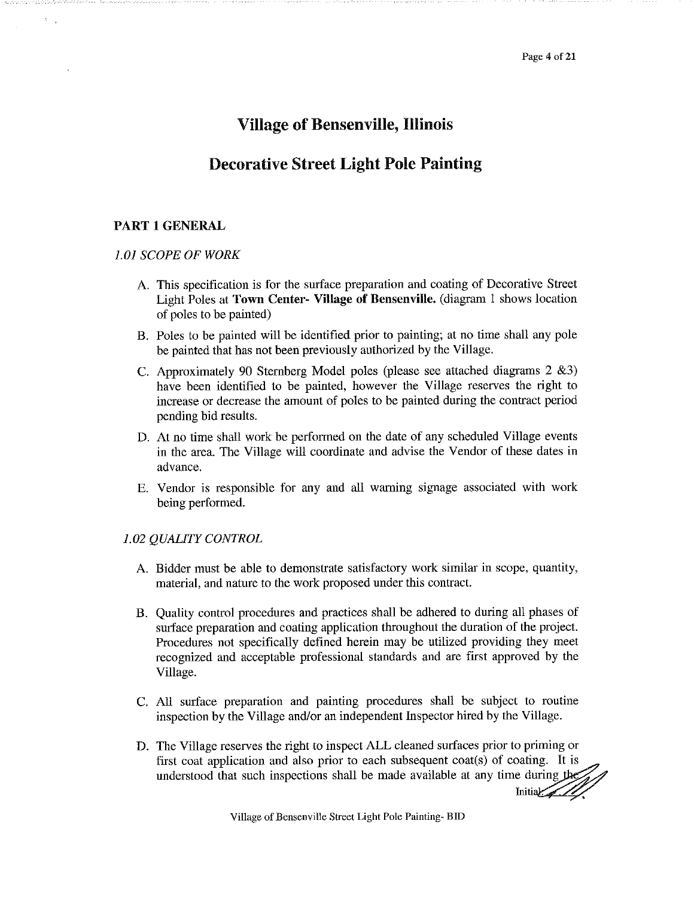#### **Village of Bensenville, Illinois**

#### **Decorative Street Light Pole Painting**

#### **PART 1 GENERAL**

#### **1.01 SCOPE OF WORK**

- A. This specification is for the surface preparation and coating of Decorative Street Light Poles at Town Center- Village of Bensenville. (diagram 1 shows location of poles to be painted)
- B. Poles to be painted will be identified prior to painting; at no time shall any pole be painted that has not been previously authorized by the Village.
- C. Approximately 90 Sternberg Model poles (please see attached diagrams 2 &3) have been identified to be painted, however the Village reserves the right to increase or decrease the amount of poles to be painted during the contract period pending bid results.
- D. At no time shall work be performed on the date of any scheduled Village events in the area. The Village will coordinate and advise the Vendor of these dates in advance.
- E. Vendor is responsible for any and all warning signage associated with work being performed.

#### 1.02 QUALITY CONTROL

- A. Bidder must be able to demonstrate satisfactory work similar in scope, quantity, material, and nature to the work proposed under this contract.
- B. Quality control procedures and practices shall be adhered to during all phases of surface preparation and coating application throughout the duration of the project. Procedures not specifically defined herein may be utilized providing they meet recognized and acceptable professional standards and are first approved by the Village.
- C. All surface preparation and painting procedures shall be subject to routine inspection by the Village and/or an independent Inspector hired by the Village.
- D. The Village reserves the right to inspect ALL cleaned surfaces prior to priming or first coat application and also prior to each subsequent coat(s) of coating. It is understood that such inspections shall be made available at any time during the understood that such inspections shall be made available at any time during the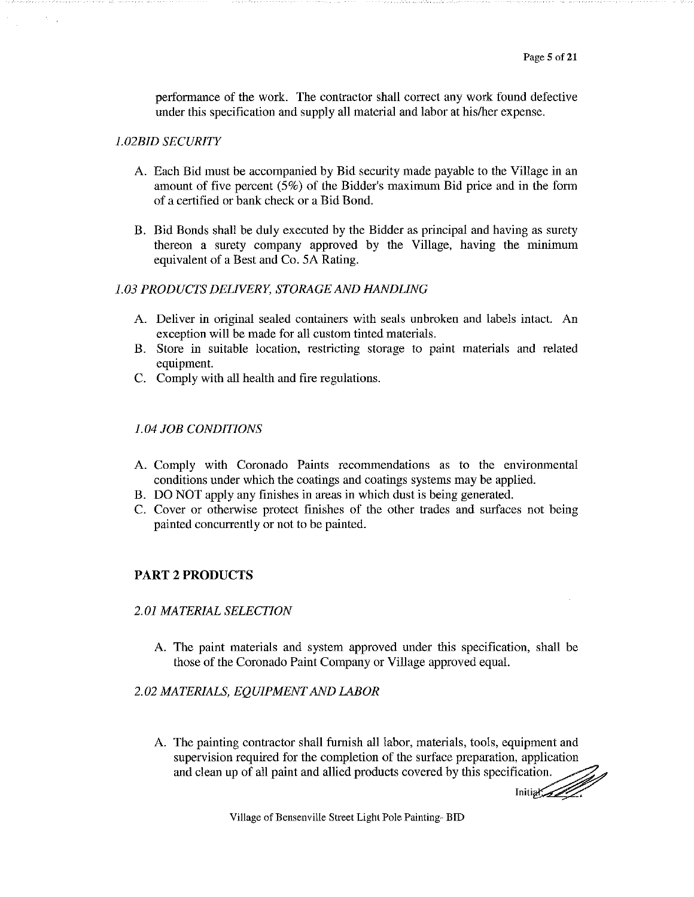performance of the work. The contractor shall correct any work found defective under this specification and supply all material and labor at his/her expense.

#### **1.02BID SECURITY**

- A. Each Bid must be accompanied by Bid security made payable to the Village in an amount of five percent  $(5\%)$  of the Bidder's maximum Bid price and in the form of a certified or bank check or a Bid Bond.
- B. Bid Bonds shall be duly executed by the Bidder as principal and having as surety thereon a surety company approved by the Village, having the minimum equivalent of a Best and Co. 5A Rating.

#### 1.03 PRODUCTS DELIVERY, STORAGE AND HANDLING

- A. Deliver in original sealed containers with seals unbroken and labels intact. An exception will be made for all custom tinted materials.
- B. Store in suitable location, restricting storage to paint materials and related equipment.
- C. Comply with all health and fire regulations.

#### **1.04 JOB CONDITIONS**

- A. Comply with Coronado Paints recommendations as to the environmental conditions under which the coatings and coatings systems may be applied.
- B. DO NOT apply any finishes in areas in which dust is being generated.
- C. Cover or otherwise protect finishes of the other trades and surfaces not being painted concurrently or not to be painted.

#### **PART 2 PRODUCTS**

#### **2.01 MATERIAL SELECTION**

A. The paint materials and system approved under this specification, shall be those of the Coronado Paint Company or Village approved equal.

#### 2.02 MATERIALS, EQUIPMENT AND LABOR

A. The painting contractor shall furnish all labor, materials, tools, equipment and supervision required for the completion of the surface preparation, application and clean up of all paint and allied products covered by this specification.

Initial Company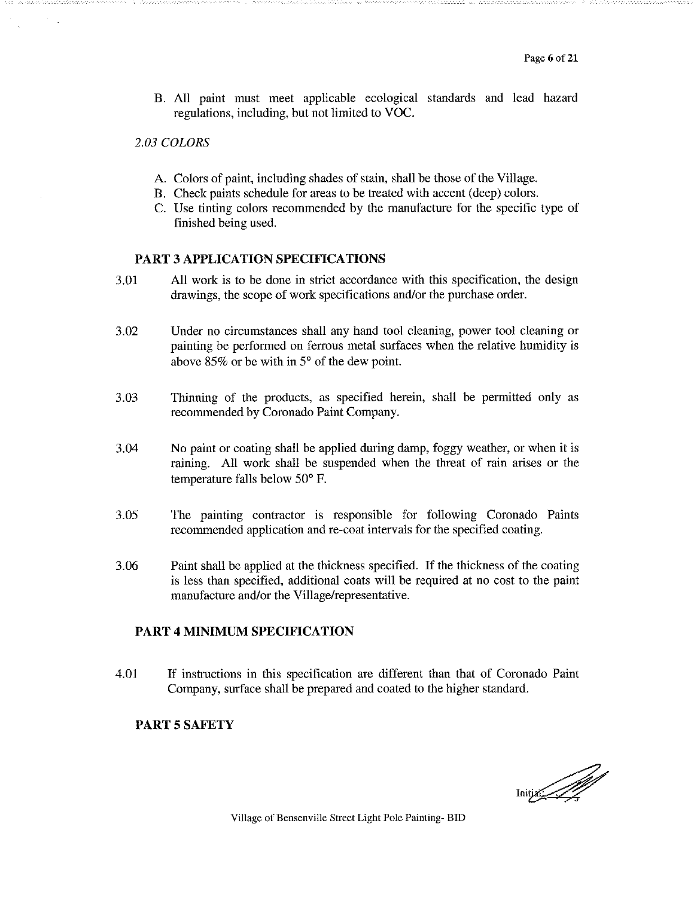B. All paint must meet applicable ecological standards and lead hazard regulations, including, but not limited to VOC.

#### 2.03 COLORS

- A. Colors of paint, including shades of stain, shall be those of the Village.
- B. Check paints schedule for areas to be treated with accent (deep) colors.
- C. Use tinting colors recommended by the manufacture for the specific type of finished being used.

#### **PART 3 APPLICATION SPECIFICATIONS**

- 3.01 All work is to be done in strict accordance with this specification, the design drawings, the scope of work specifications and/or the purchase order.
- 3.02 Under no circumstances shall any hand tool cleaning, power tool cleaning or painting be performed on ferrous metal surfaces when the relative humidity is above  $85\%$  or be with in  $5^{\circ}$  of the dew point.
- 3.03 Thinning of the products, as specified herein, shall be permitted only as recommended by Coronado Paint Company.
- 3.04 No paint or coating shall be applied during damp, foggy weather, or when it is raining. All work shall be suspended when the threat of rain arises or the temperature falls below 50° F.
- 3.05 The painting contractor is responsible for following Coronado Paints recommended application and re-coat intervals for the specified coating.
- 3.06 Paint shall be applied at the thickness specified. If the thickness of the coating is less than specified, additional coats will be required at no cost to the paint manufacture and/or the Village/representative.

#### **PART 4 MINIMUM SPECIFICATION**

4.01 If instructions in this specification are different than that of Coronado Paint Company, surface shall be prepared and coated to the higher standard.

#### **PART 5 SAFETY**

Initial 1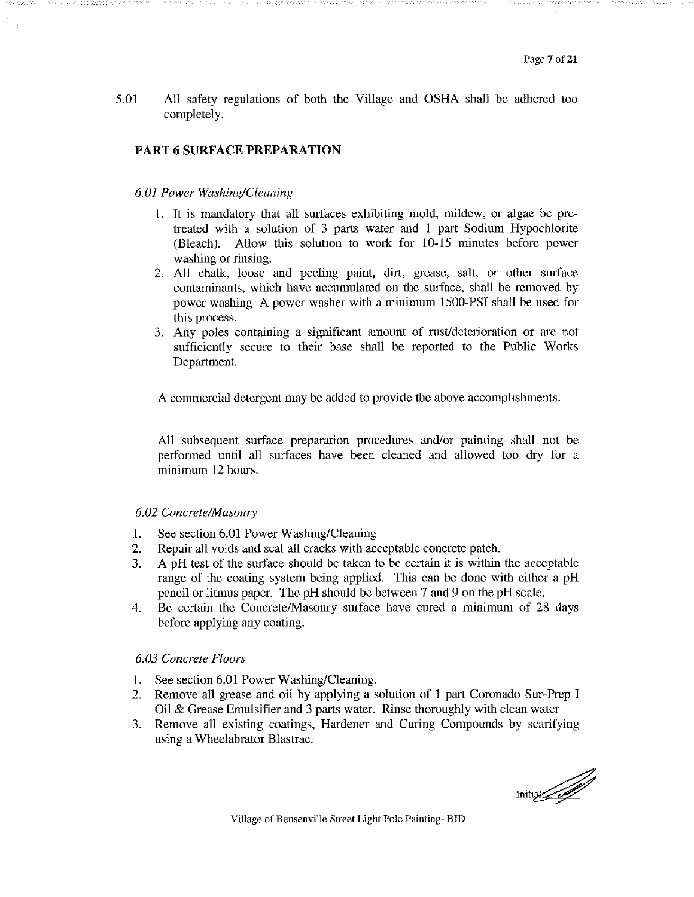5.01 All safety regulations of both the Village and OSHA shall be adhered too completely.

#### PART 6 SURFACE PREPARATION

#### 6.01 Power Washing/Cleaning

- 1. It is mandatory that all surfaces exhibiting mold, mildew, or algae be pretreated with a solution of 3 parts water and 1 part Sodium Hypochlorite (Bleach). Allow this solution to work for 10-15 minutes before power washing or rinsing.
- 2. All chalk, loose and peeling paint, dirt, grease, salt, or other surface contaminants, which have accumulated on the surface, shall be removed by power washing. A power washer with a minimum 1500-PSI shall be used for this process.
- 3. Any poles containing a significant amount of rust/deterioration or are not sufficiently secure to their base shall be reported to the Public Works Department.

A commercial detergent may be added to provide the above accomplishments.

All subsequent surface preparation procedures and/or painting shall not be performed until all surfaces have been cleaned and allowed too dry for a minimum 12 hours.

#### 6.02 Concrete/Masonry

- See section 6.01 Power Washing/Cleaning  $1.$
- $2.$ Repair all voids and seal all cracks with acceptable concrete patch.
- A pH test of the surface should be taken to be certain it is within the acceptable 3. range of the coating system being applied. This can be done with either a pH pencil or litmus paper. The pH should be between 7 and 9 on the pH scale.
- 4. Be certain the Concrete/Masonry surface have cured a minimum of 28 days before applying any coating.

#### 6.03 Concrete Floors

- 1. See section 6.01 Power Washing/Cleaning.
- Remove all grease and oil by applying a solution of 1 part Coronado Sur-Prep I 2. Oil & Grease Emulsifier and 3 parts water. Rinse thoroughly with clean water
- 3. Remove all existing coatings, Hardener and Curing Compounds by scarifying using a Wheelabrator Blastrac.

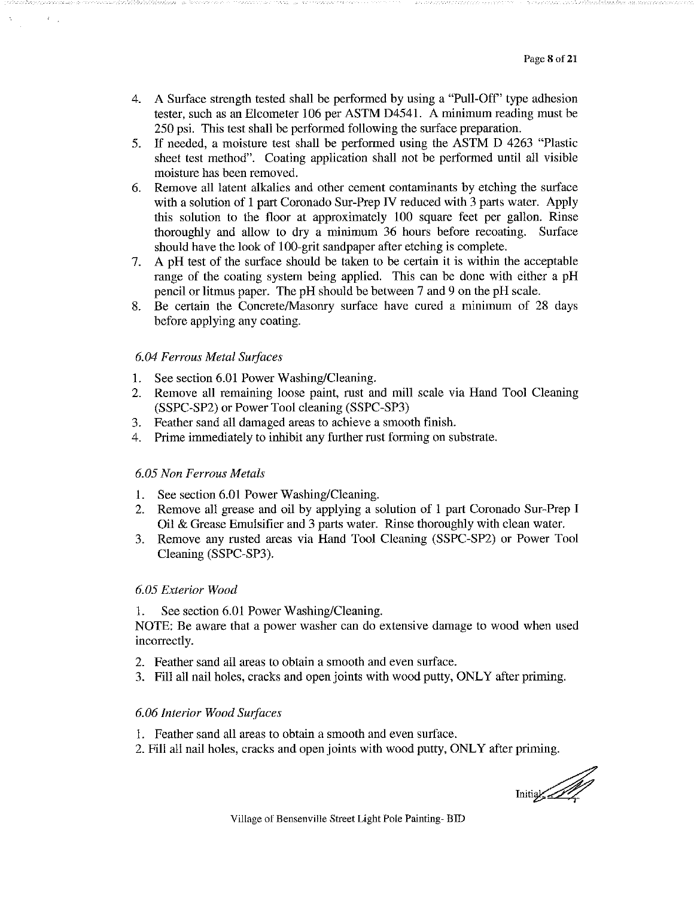- A Surface strength tested shall be performed by using a "Pull-Off" type adhesion 4. tester, such as an Elcometer 106 per ASTM D4541. A minimum reading must be 250 psi. This test shall be performed following the surface preparation.
- 5. If needed, a moisture test shall be performed using the ASTM D 4263 "Plastic sheet test method". Coating application shall not be performed until all visible moisture has been removed.
- Remove all latent alkalies and other cement contaminants by etching the surface 6. with a solution of 1 part Coronado Sur-Prep IV reduced with 3 parts water. Apply this solution to the floor at approximately 100 square feet per gallon. Rinse thoroughly and allow to dry a minimum 36 hours before recoating. Surface should have the look of 100-grit sandpaper after etching is complete.
- A pH test of the surface should be taken to be certain it is within the acceptable  $7.$ range of the coating system being applied. This can be done with either a pH pencil or litmus paper. The pH should be between 7 and 9 on the pH scale.
- 8. Be certain the Concrete/Masonry surface have cured a minimum of 28 days before applying any coating.

#### 6.04 Ferrous Metal Surfaces

- 1. See section 6.01 Power Washing/Cleaning.
- Remove all remaining loose paint, rust and mill scale via Hand Tool Cleaning  $2.$ (SSPC-SP2) or Power Tool cleaning (SSPC-SP3)
- 3. Feather sand all damaged areas to achieve a smooth finish.
- 4. Prime immediately to inhibit any further rust forming on substrate.

#### 6.05 Non Ferrous Metals

- See section 6.01 Power Washing/Cleaning. 1.
- Remove all grease and oil by applying a solution of 1 part Coronado Sur-Prep I 2. Oil & Grease Emulsifier and 3 parts water. Rinse thoroughly with clean water.
- Remove any rusted areas via Hand Tool Cleaning (SSPC-SP2) or Power Tool 3 Cleaning (SSPC-SP3).

#### 6.05 Exterior Wood

See section 6.01 Power Washing/Cleaning. 1.

NOTE: Be aware that a power washer can do extensive damage to wood when used incorrectly.

- 2. Feather sand all areas to obtain a smooth and even surface.
- 3. Fill all nail holes, cracks and open joints with wood putty, ONLY after priming.

#### 6.06 Interior Wood Surfaces

- 1. Feather sand all areas to obtain a smooth and even surface.
- 2. Fill all nail holes, cracks and open joints with wood putty, ONLY after priming.

Initial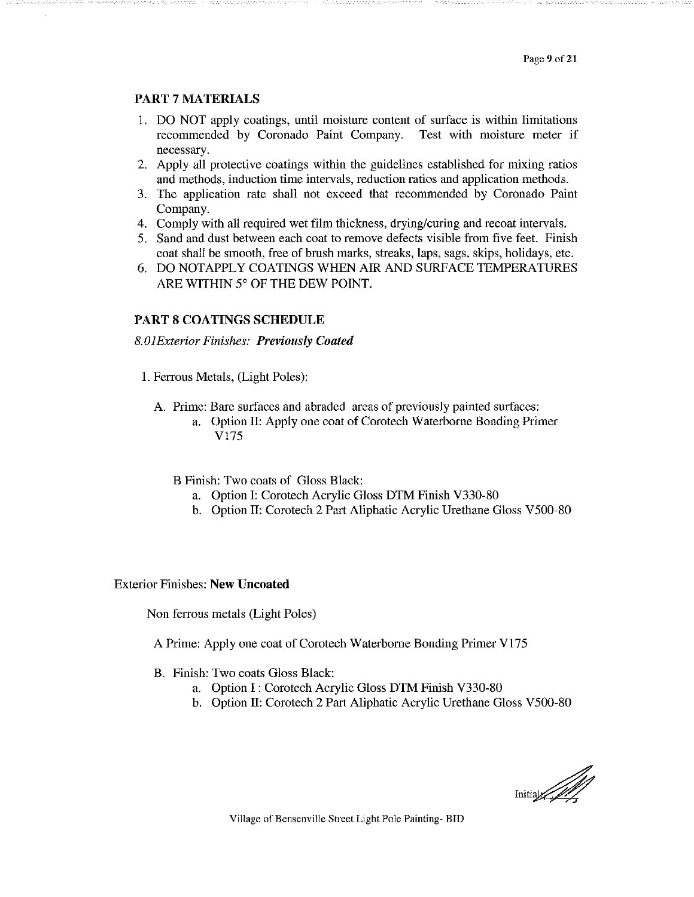#### **PART 7 MATERIALS**

- 1. DO NOT apply coatings, until moisture content of surface is within limitations recommended by Coronado Paint Company. Test with moisture meter if necessary.
- 2. Apply all protective coatings within the guidelines established for mixing ratios and methods, induction time intervals, reduction ratios and application methods.
- 3. The application rate shall not exceed that recommended by Coronado Paint Company.
- 4. Comply with all required wet film thickness, drying/curing and recoat intervals.
- 5. Sand and dust between each coat to remove defects visible from five feet. Finish coat shall be smooth, free of brush marks, streaks, laps, sags, skips, holidays, etc.
- 6. DO NOTAPPLY COATINGS WHEN AIR AND SURFACE TEMPERATURES ARE WITHIN 5° OF THE DEW POINT.

#### **PART 8 COATINGS SCHEDULE**

#### **8.01Exterior Finishes: Previously Coated**

- 1. Ferrous Metals, (Light Poles):
	- A. Prime: Bare surfaces and abraded areas of previously painted surfaces:
		- a. Option II: Apply one coat of Corotech Waterborne Bonding Primer V175
		- B Finish: Two coats of Gloss Black:
			- a. Option I: Corotech Acrylic Gloss DTM Finish V330-80
			- b. Option II: Corotech 2 Part Aliphatic Acrylic Urethane Gloss V500-80

#### **Exterior Finishes: New Uncoated**

Non ferrous metals (Light Poles)

A Prime: Apply one coat of Corotech Waterborne Bonding Primer V175

- B. Finish: Two coats Gloss Black:
	- a. Option I: Corotech Acrylic Gloss DTM Finish V330-80
	- b. Option II: Corotech 2 Part Aliphatic Acrylic Urethane Gloss V500-80

Initial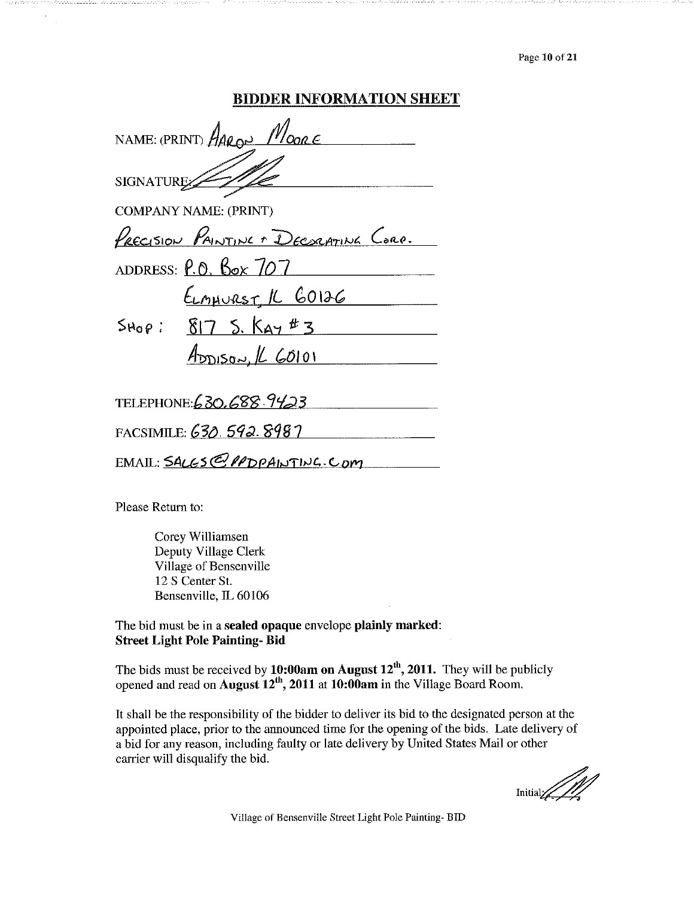Page 10 of 21

#### **BIDDER INFORMATION SHEET**

| NAME: (PRINT) AARON MOORE             |
|---------------------------------------|
| SIGNATURE:                            |
| <b>COMPANY NAME: (PRINT)</b>          |
| PRECISION PAINTING + DECORATING CORP. |
| ADDRESS: $P.0$ , Box $707$            |
| <u>ELMAURST IL GOIZG</u>              |
| $Step: 817 5.$ Kay #3                 |
| $A_{\text{DDISov}}$ $L$ $60101$       |
|                                       |
| TELEPHONE: 630, 688. 9423             |
| FACSIMILE: 630. 592. 8987             |
| EMAIL: SALGS@PPDPAINTING.COM          |

Please Return to:

Corey Williamsen Deputy Village Clerk Village of Bensenville 12 S Center St. Bensenville, IL 60106

The bid must be in a sealed opaque envelope plainly marked: **Street Light Pole Painting-Bid** 

The bids must be received by 10:00am on August  $12^{th}$ , 2011. They will be publicly opened and read on August  $12^{th}$ , 2011 at 10:00am in the Village Board Room.

It shall be the responsibility of the bidder to deliver its bid to the designated person at the appointed place, prior to the announced time for the opening of the bids. Late delivery of a bid for any reason, including faulty or late delivery by United States Mail or other carrier will disqualify the bid.

 $\text{Initial} \diagup \text{final}$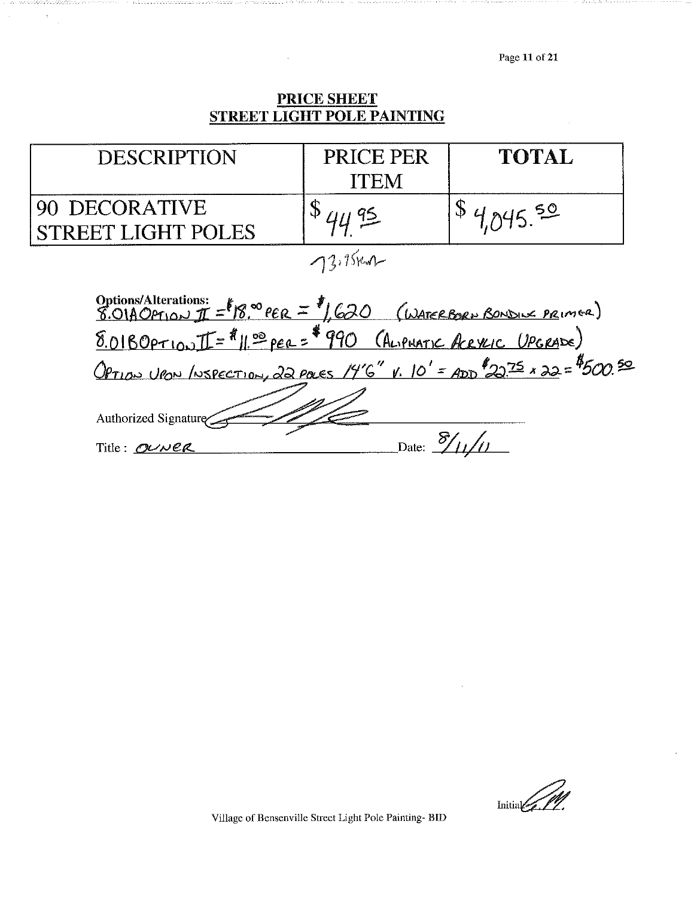Page 11 of 21

# **PRICE SHEET<br>STREET LIGHT POLE PAINTING**

 $\bar{\gamma}$ 

 $\bar{\lambda}$ 

| <b>DESCRIPTION</b>                                                                                                                                         | PRICE PER<br>ITEM | TOTAL   |  |
|------------------------------------------------------------------------------------------------------------------------------------------------------------|-------------------|---------|--|
| DECORATIVE<br>REET LIGHT POLES                                                                                                                             | 41195             | 1045.50 |  |
| $73.15$ Kur                                                                                                                                                |                   |         |  |
| Options/Alterations: $f = 18.0^\circ$ PER = $f$ , 620 (WATERBORN BONDING PRIMER)<br>8.01BOPTION II = $f / f$ , 10 PER = $f$ 990 (ALIPHATIC ARPLIC UPGRADE) |                   |         |  |
| Option Up / NSPECTION, 22 POLES 14'6" V. 10' = ADD 22.75 x 22 = \$500.50                                                                                   |                   |         |  |
| Authorized Signature                                                                                                                                       |                   |         |  |
| Date: $\frac{\delta}{\delta}$<br>Title: OUNER                                                                                                              |                   |         |  |

 $\frac{1}{\min\{1,1\}}$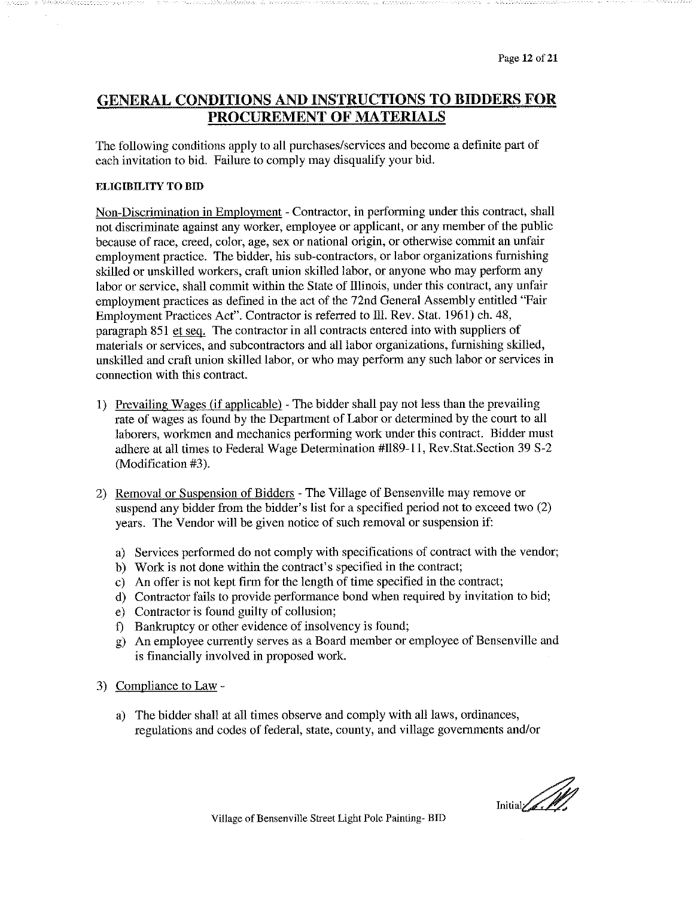#### **GENERAL CONDITIONS AND INSTRUCTIONS TO BIDDERS FOR** PROCUREMENT OF MATERIALS

The following conditions apply to all purchases/services and become a definite part of each invitation to bid. Failure to comply may disqualify your bid.

#### **ELIGIBILITY TO BID**

Non-Discrimination in Employment - Contractor, in performing under this contract, shall not discriminate against any worker, employee or applicant, or any member of the public because of race, creed, color, age, sex or national origin, or otherwise commit an unfair employment practice. The bidder, his sub-contractors, or labor organizations furnishing skilled or unskilled workers, craft union skilled labor, or anyone who may perform any labor or service, shall commit within the State of Illinois, under this contract, any unfair employment practices as defined in the act of the 72nd General Assembly entitled "Fair Employment Practices Act". Contractor is referred to Ill. Rev. Stat. 1961) ch. 48, paragraph 851 et seq. The contractor in all contracts entered into with suppliers of materials or services, and subcontractors and all labor organizations, furnishing skilled, unskilled and craft union skilled labor, or who may perform any such labor or services in connection with this contract.

- 1) Prevailing Wages (if applicable) The bidder shall pay not less than the prevailing rate of wages as found by the Department of Labor or determined by the court to all laborers, workmen and mechanics performing work under this contract. Bidder must adhere at all times to Federal Wage Determination #II89-11, Rev.Stat.Section 39 S-2 (Modification #3).
- 2) Removal or Suspension of Bidders The Village of Bensenville may remove or suspend any bidder from the bidder's list for a specified period not to exceed two (2) years. The Vendor will be given notice of such removal or suspension if:
	- a) Services performed do not comply with specifications of contract with the vendor;
	- b) Work is not done within the contract's specified in the contract;
	- c) An offer is not kept firm for the length of time specified in the contract;
	- d) Contractor fails to provide performance bond when required by invitation to bid;
	- e) Contractor is found guilty of collusion;
	- f) Bankruptcy or other evidence of insolvency is found;
	- g) An employee currently serves as a Board member or employee of Bensenville and is financially involved in proposed work.
- 3) Compliance to Law
	- a) The bidder shall at all times observe and comply with all laws, ordinances, regulations and codes of federal, state, county, and village governments and/or

 $\frac{1}{\sqrt{2}}$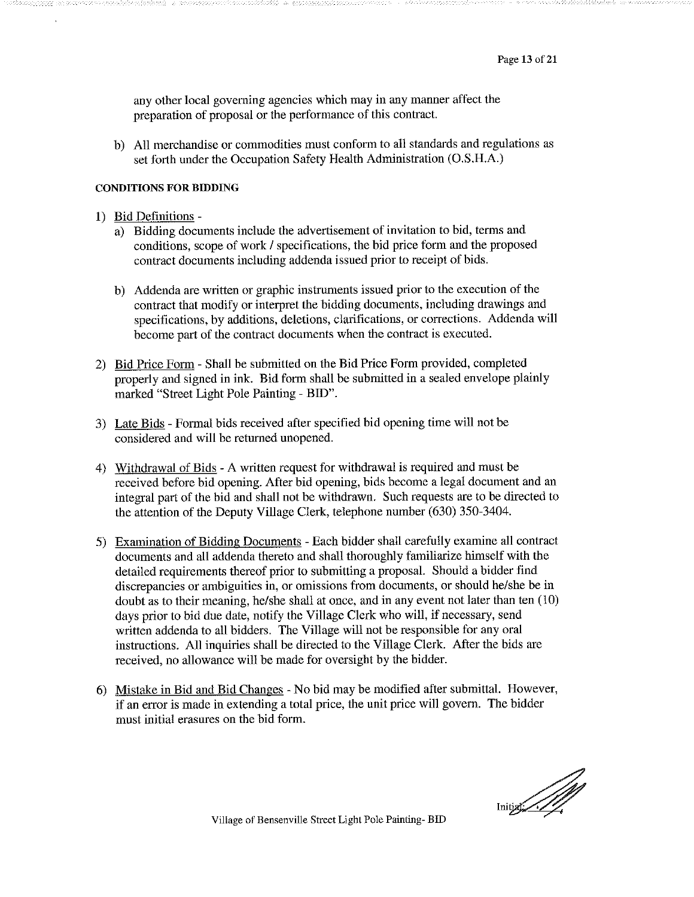any other local governing agencies which may in any manner affect the preparation of proposal or the performance of this contract.

b) All merchandise or commodities must conform to all standards and regulations as set forth under the Occupation Safety Health Administration (O.S.H.A.)

#### **CONDITIONS FOR BIDDING**

- 1) Bid Definitions
	- a) Bidding documents include the advertisement of invitation to bid, terms and conditions, scope of work / specifications, the bid price form and the proposed contract documents including addenda issued prior to receipt of bids.
	- b) Addenda are written or graphic instruments issued prior to the execution of the contract that modify or interpret the bidding documents, including drawings and specifications, by additions, deletions, clarifications, or corrections. Addenda will become part of the contract documents when the contract is executed.
- 2) Bid Price Form Shall be submitted on the Bid Price Form provided, completed properly and signed in ink. Bid form shall be submitted in a sealed envelope plainly marked "Street Light Pole Painting - BID".
- 3) Late Bids Formal bids received after specified bid opening time will not be considered and will be returned unopened.
- 4) Withdrawal of Bids A written request for withdrawal is required and must be received before bid opening. After bid opening, bids become a legal document and an integral part of the bid and shall not be withdrawn. Such requests are to be directed to the attention of the Deputy Village Clerk, telephone number (630) 350-3404.
- 5) Examination of Bidding Documents Each bidder shall carefully examine all contract documents and all addenda thereto and shall thoroughly familiarize himself with the detailed requirements thereof prior to submitting a proposal. Should a bidder find discrepancies or ambiguities in, or omissions from documents, or should he/she be in doubt as to their meaning, he/she shall at once, and in any event not later than ten (10) days prior to bid due date, notify the Village Clerk who will, if necessary, send written addenda to all bidders. The Village will not be responsible for any oral instructions. All inquiries shall be directed to the Village Clerk. After the bids are received, no allowance will be made for oversight by the bidder.
- 6) Mistake in Bid and Bid Changes No bid may be modified after submittal. However, if an error is made in extending a total price, the unit price will govern. The bidder must initial erasures on the bid form.

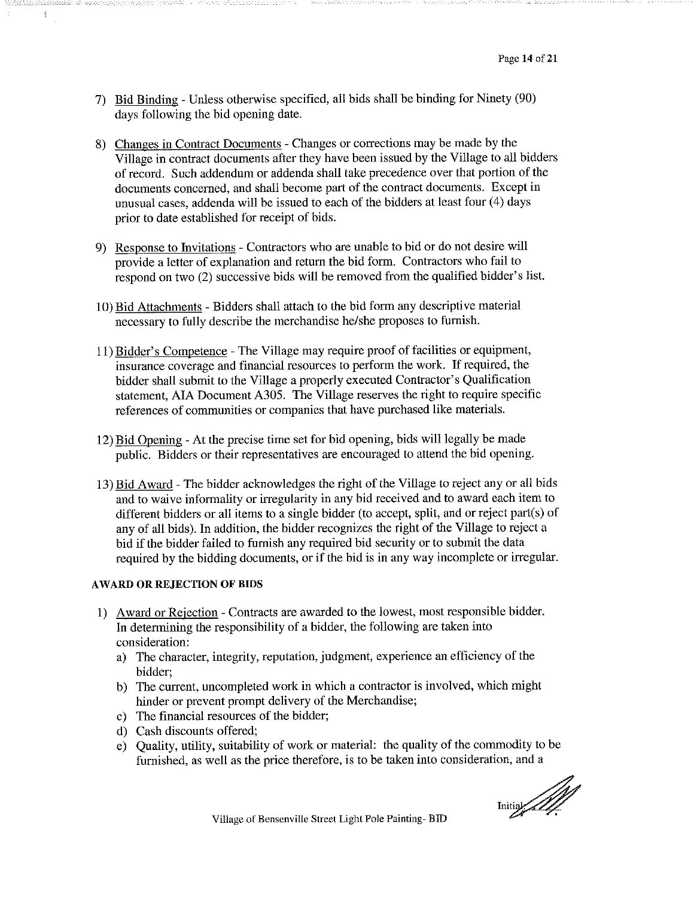- 7) Bid Binding Unless otherwise specified, all bids shall be binding for Ninety (90) days following the bid opening date.
- 8) Changes in Contract Documents Changes or corrections may be made by the Village in contract documents after they have been issued by the Village to all bidders of record. Such addendum or addenda shall take precedence over that portion of the documents concerned, and shall become part of the contract documents. Except in unusual cases, addenda will be issued to each of the bidders at least four (4) days prior to date established for receipt of bids.
- 9) Response to Invitations Contractors who are unable to bid or do not desire will provide a letter of explanation and return the bid form. Contractors who fail to respond on two (2) successive bids will be removed from the qualified bidder's list.
- 10) Bid Attachments Bidders shall attach to the bid form any descriptive material necessary to fully describe the merchandise he/she proposes to furnish.
- 11) Bidder's Competence The Village may require proof of facilities or equipment, insurance coverage and financial resources to perform the work. If required, the bidder shall submit to the Village a properly executed Contractor's Qualification statement, AIA Document A305. The Village reserves the right to require specific references of communities or companies that have purchased like materials.
- 12) Bid Opening At the precise time set for bid opening, bids will legally be made public. Bidders or their representatives are encouraged to attend the bid opening.
- 13) Bid Award The bidder acknowledges the right of the Village to reject any or all bids and to waive informality or irregularity in any bid received and to award each item to different bidders or all items to a single bidder (to accept, split, and or reject part(s) of any of all bids). In addition, the bidder recognizes the right of the Village to reject a bid if the bidder failed to furnish any required bid security or to submit the data required by the bidding documents, or if the bid is in any way incomplete or irregular.

#### **AWARD OR REJECTION OF BIDS**

 $\frac{3}{2}$ 

- 1) Award or Rejection Contracts are awarded to the lowest, most responsible bidder. In determining the responsibility of a bidder, the following are taken into consideration:
	- a) The character, integrity, reputation, judgment, experience an efficiency of the bidder;
	- b) The current, uncompleted work in which a contractor is involved, which might hinder or prevent prompt delivery of the Merchandise;
	- c) The financial resources of the bidder;
	- d) Cash discounts offered;
	- e) Quality, utility, suitability of work or material: the quality of the commodity to be furnished, as well as the price therefore, is to be taken into consideration, and a

Initial All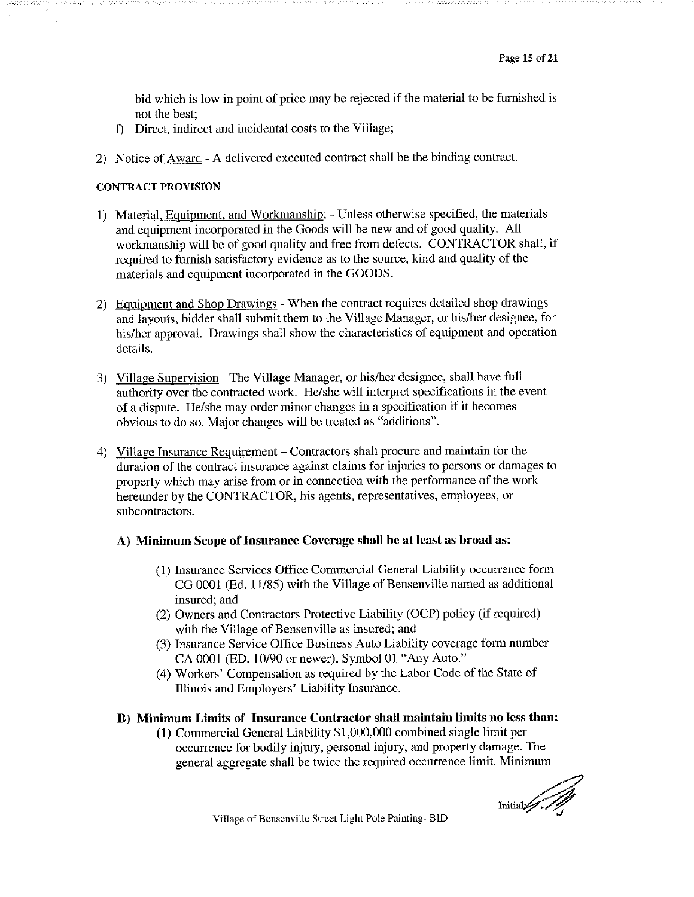bid which is low in point of price may be rejected if the material to be furnished is not the best:

- f) Direct, indirect and incidental costs to the Village;
- 2) Notice of Award A delivered executed contract shall be the binding contract.

#### **CONTRACT PROVISION**

Ŷ

- 1) Material, Equipment, and Workmanship: Unless otherwise specified, the materials and equipment incorporated in the Goods will be new and of good quality. All workmanship will be of good quality and free from defects. CONTRACTOR shall, if required to furnish satisfactory evidence as to the source, kind and quality of the materials and equipment incorporated in the GOODS.
- 2) Equipment and Shop Drawings When the contract requires detailed shop drawings and layouts, bidder shall submit them to the Village Manager, or his/her designee, for his/her approval. Drawings shall show the characteristics of equipment and operation details.
- 3) Village Supervision The Village Manager, or his/her designee, shall have full authority over the contracted work. He/she will interpret specifications in the event of a dispute. He/she may order minor changes in a specification if it becomes obvious to do so. Major changes will be treated as "additions".
- 4) Village Insurance Requirement Contractors shall procure and maintain for the duration of the contract insurance against claims for injuries to persons or damages to property which may arise from or in connection with the performance of the work hereunder by the CONTRACTOR, his agents, representatives, employees, or subcontractors.

#### A) Minimum Scope of Insurance Coverage shall be at least as broad as:

- (1) Insurance Services Office Commercial General Liability occurrence form CG 0001 (Ed. 11/85) with the Village of Bensenville named as additional insured; and
- (2) Owners and Contractors Protective Liability (OCP) policy (if required) with the Village of Bensenville as insured; and
- (3) Insurance Service Office Business Auto Liability coverage form number CA 0001 (ED. 10/90 or newer), Symbol 01 "Any Auto."
- (4) Workers' Compensation as required by the Labor Code of the State of Illinois and Employers' Liability Insurance.

#### B) Minimum Limits of Insurance Contractor shall maintain limits no less than:

(1) Commercial General Liability \$1,000,000 combined single limit per occurrence for bodily injury, personal injury, and property damage. The general aggregate shall be twice the required occurrence limit. Minimum

Initial 1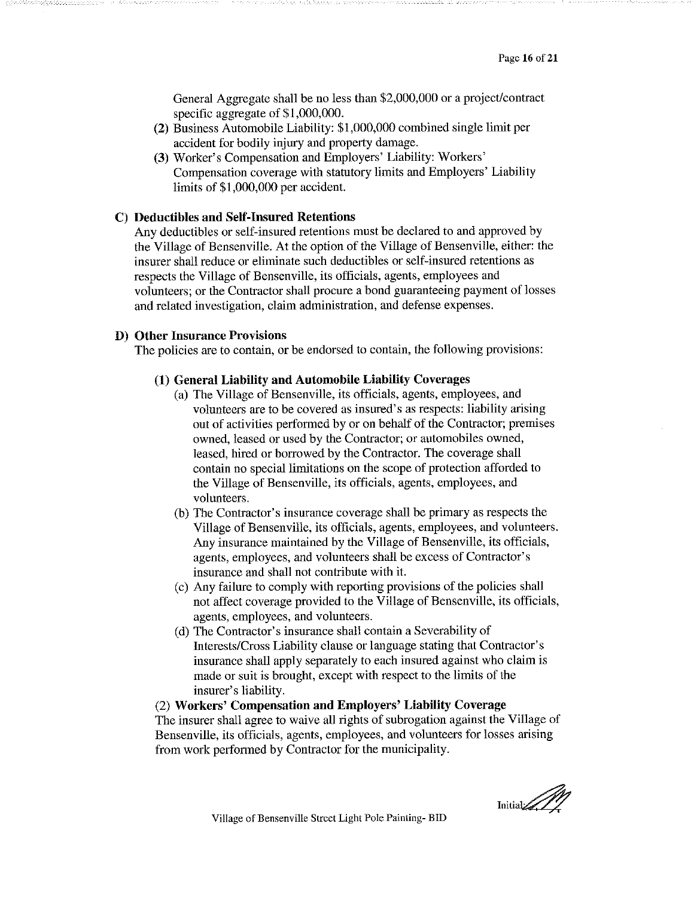General Aggregate shall be no less than \$2,000,000 or a project/contract specific aggregate of \$1,000,000.

- (2) Business Automobile Liability: \$1,000,000 combined single limit per accident for bodily injury and property damage.
- (3) Worker's Compensation and Employers' Liability: Workers' Compensation coverage with statutory limits and Employers' Liability limits of \$1,000,000 per accident.

#### C) Deductibles and Self-Insured Retentions

Any deductibles or self-insured retentions must be declared to and approved by the Village of Bensenville. At the option of the Village of Bensenville, either: the insurer shall reduce or eliminate such deductibles or self-insured retentions as respects the Village of Bensenville, its officials, agents, employees and volunteers; or the Contractor shall procure a bond guaranteeing payment of losses and related investigation, claim administration, and defense expenses.

#### **D)** Other Insurance Provisions

The policies are to contain, or be endorsed to contain, the following provisions:

#### (1) General Liability and Automobile Liability Coverages

- (a) The Village of Bensenville, its officials, agents, employees, and volunteers are to be covered as insured's as respects: liability arising out of activities performed by or on behalf of the Contractor; premises owned, leased or used by the Contractor; or automobiles owned, leased, hired or borrowed by the Contractor. The coverage shall contain no special limitations on the scope of protection afforded to the Village of Bensenville, its officials, agents, employees, and volunteers.
- (b) The Contractor's insurance coverage shall be primary as respects the Village of Bensenville, its officials, agents, employees, and volunteers. Any insurance maintained by the Village of Bensenville, its officials, agents, employees, and volunteers shall be excess of Contractor's insurance and shall not contribute with it.
- (c) Any failure to comply with reporting provisions of the policies shall not affect coverage provided to the Village of Bensenville, its officials, agents, employees, and volunteers.
- (d) The Contractor's insurance shall contain a Severability of Interests/Cross Liability clause or language stating that Contractor's insurance shall apply separately to each insured against who claim is made or suit is brought, except with respect to the limits of the insurer's liability.

(2) Workers' Compensation and Employers' Liability Coverage The insurer shall agree to waive all rights of subrogation against the Village of Bensenville, its officials, agents, employees, and volunteers for losses arising from work performed by Contractor for the municipality.

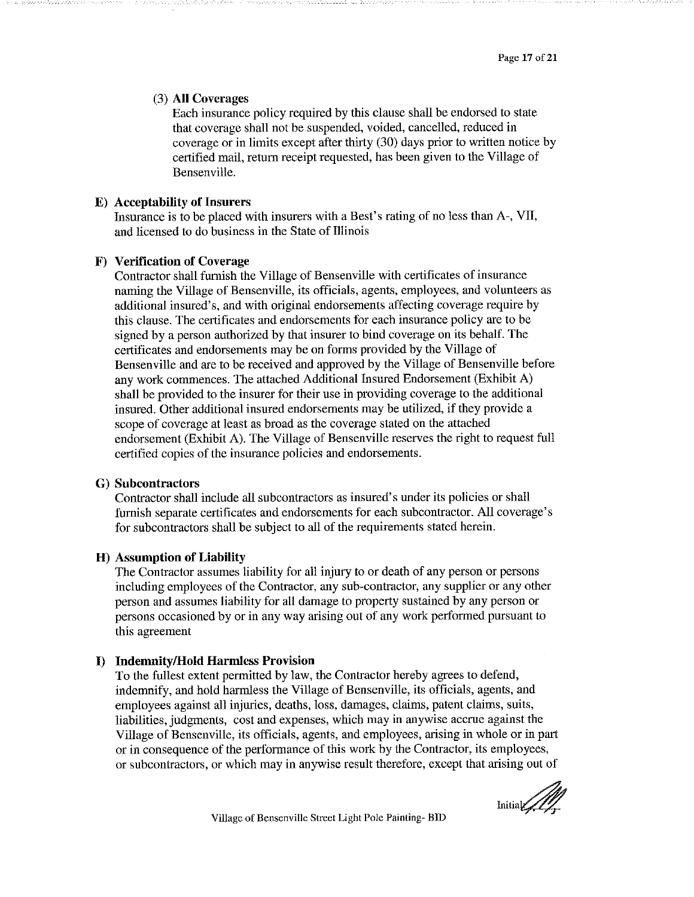#### (3) All Coverages

Each insurance policy required by this clause shall be endorsed to state that coverage shall not be suspended, voided, cancelled, reduced in coverage or in limits except after thirty (30) days prior to written notice by certified mail, return receipt requested, has been given to the Village of Bensenville.

#### **E**) Acceptability of Insurers

Insurance is to be placed with insurers with a Best's rating of no less than A-, VII, and licensed to do business in the State of Illinois

#### F) Verification of Coverage

Contractor shall furnish the Village of Bensenville with certificates of insurance naming the Village of Bensenville, its officials, agents, employees, and volunteers as additional insured's, and with original endorsements affecting coverage require by this clause. The certificates and endorsements for each insurance policy are to be signed by a person authorized by that insurer to bind coverage on its behalf. The certificates and endorsements may be on forms provided by the Village of Bensenville and are to be received and approved by the Village of Bensenville before any work commences. The attached Additional Insured Endorsement (Exhibit A) shall be provided to the insurer for their use in providing coverage to the additional insured. Other additional insured endorsements may be utilized, if they provide a scope of coverage at least as broad as the coverage stated on the attached endorsement (Exhibit A). The Village of Bensenville reserves the right to request full certified copies of the insurance policies and endorsements.

#### G) Subcontractors

Contractor shall include all subcontractors as insured's under its policies or shall furnish separate certificates and endorsements for each subcontractor. All coverage's for subcontractors shall be subject to all of the requirements stated herein.

#### **H**) Assumption of Liability

The Contractor assumes liability for all injury to or death of any person or persons including employees of the Contractor, any sub-contractor, any supplier or any other person and assumes liability for all damage to property sustained by any person or persons occasioned by or in any way arising out of any work performed pursuant to this agreement

#### **Indemnity/Hold Harmless Provision**  $\bf{D}$

To the fullest extent permitted by law, the Contractor hereby agrees to defend, indemnify, and hold harmless the Village of Bensenville, its officials, agents, and employees against all injuries, deaths, loss, damages, claims, patent claims, suits, liabilities, judgments, cost and expenses, which may in anywise accrue against the Village of Bensenville, its officials, agents, and employees, arising in whole or in part or in consequence of the performance of this work by the Contractor, its employees, or subcontractors, or which may in anywise result therefore, except that arising out of

 $\text{Initial}/\text{N}$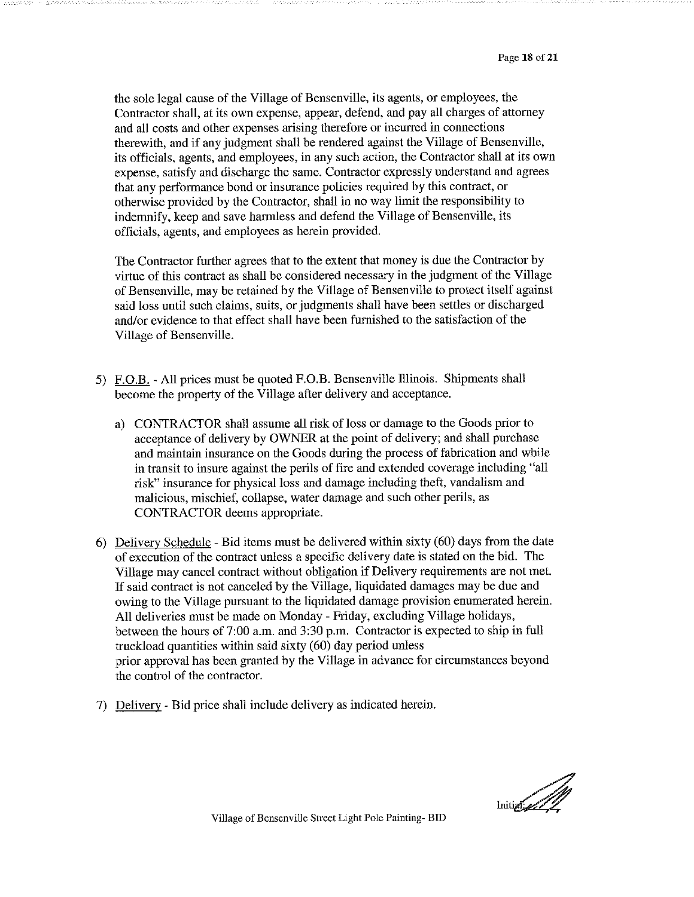the sole legal cause of the Village of Bensenville, its agents, or employees, the Contractor shall, at its own expense, appear, defend, and pay all charges of attorney and all costs and other expenses arising therefore or incurred in connections therewith, and if any judgment shall be rendered against the Village of Bensenville, its officials, agents, and employees, in any such action, the Contractor shall at its own expense, satisfy and discharge the same. Contractor expressly understand and agrees that any performance bond or insurance policies required by this contract, or otherwise provided by the Contractor, shall in no way limit the responsibility to indemnify, keep and save harmless and defend the Village of Bensenville, its officials, agents, and employees as herein provided.

The Contractor further agrees that to the extent that money is due the Contractor by virtue of this contract as shall be considered necessary in the judgment of the Village of Bensenville, may be retained by the Village of Bensenville to protect itself against said loss until such claims, suits, or judgments shall have been settles or discharged and/or evidence to that effect shall have been furnished to the satisfaction of the Village of Bensenville.

- 5) F.O.B. All prices must be quoted F.O.B. Bensenville Illinois. Shipments shall become the property of the Village after delivery and acceptance.
	- a) CONTRACTOR shall assume all risk of loss or damage to the Goods prior to acceptance of delivery by OWNER at the point of delivery; and shall purchase and maintain insurance on the Goods during the process of fabrication and while in transit to insure against the perils of fire and extended coverage including "all risk" insurance for physical loss and damage including theft, vandalism and malicious, mischief, collapse, water damage and such other perils, as CONTRACTOR deems appropriate.
- 6) Delivery Schedule Bid items must be delivered within sixty (60) days from the date of execution of the contract unless a specific delivery date is stated on the bid. The Village may cancel contract without obligation if Delivery requirements are not met. If said contract is not canceled by the Village, liquidated damages may be due and owing to the Village pursuant to the liquidated damage provision enumerated herein. All deliveries must be made on Monday - Friday, excluding Village holidays, between the hours of 7:00 a.m. and 3:30 p.m. Contractor is expected to ship in full truckload quantities within said sixty (60) day period unless prior approval has been granted by the Village in advance for circumstances beyond the control of the contractor.
- 7) Delivery Bid price shall include delivery as indicated herein.

Initial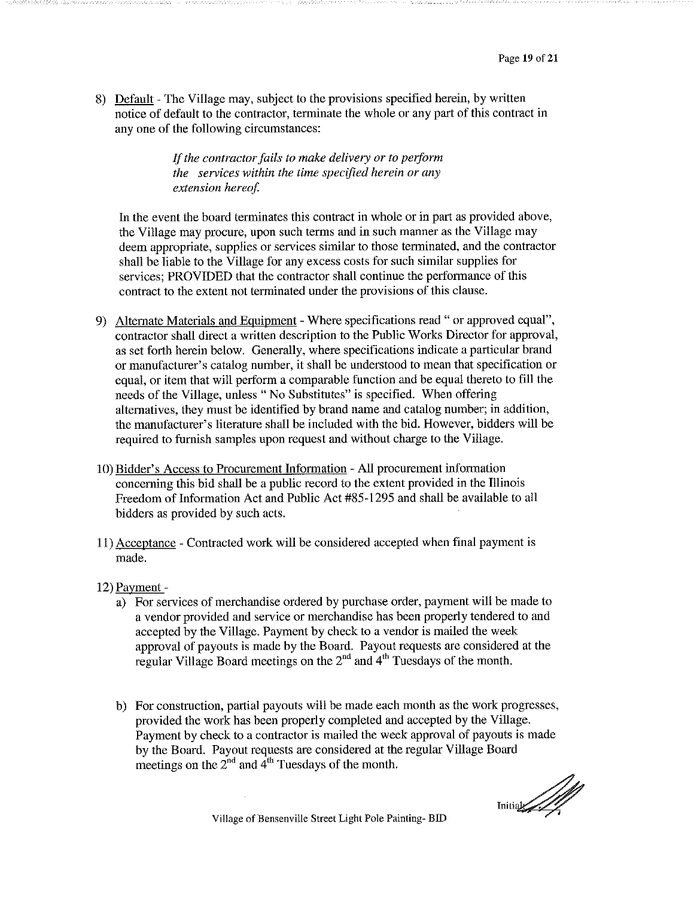8) Default - The Village may, subject to the provisions specified herein, by written notice of default to the contractor, terminate the whole or any part of this contract in any one of the following circumstances:

> If the contractor fails to make delivery or to perform the services within the time specified herein or any extension hereof.

In the event the board terminates this contract in whole or in part as provided above, the Village may procure, upon such terms and in such manner as the Village may deem appropriate, supplies or services similar to those terminated, and the contractor shall be liable to the Village for any excess costs for such similar supplies for services; PROVIDED that the contractor shall continue the performance of this contract to the extent not terminated under the provisions of this clause.

- 9) Alternate Materials and Equipment Where specifications read " or approved equal", contractor shall direct a written description to the Public Works Director for approval, as set forth herein below. Generally, where specifications indicate a particular brand or manufacturer's catalog number, it shall be understood to mean that specification or equal, or item that will perform a comparable function and be equal thereto to fill the needs of the Village, unless "No Substitutes" is specified. When offering alternatives, they must be identified by brand name and catalog number; in addition, the manufacturer's literature shall be included with the bid. However, bidders will be required to furnish samples upon request and without charge to the Village.
- 10) Bidder's Access to Procurement Information All procurement information concerning this bid shall be a public record to the extent provided in the Illinois Freedom of Information Act and Public Act #85-1295 and shall be available to all bidders as provided by such acts.
- 11) Acceptance Contracted work will be considered accepted when final payment is made.
- 12) Payment
	- a) For services of merchandise ordered by purchase order, payment will be made to a vendor provided and service or merchandise has been properly tendered to and accepted by the Village. Payment by check to a vendor is mailed the week approval of payouts is made by the Board. Payout requests are considered at the regular Village Board meetings on the 2<sup>nd</sup> and 4<sup>th</sup> Tuesdays of the month.
	- b) For construction, partial payouts will be made each month as the work progresses, provided the work has been properly completed and accepted by the Village. Payment by check to a contractor is mailed the week approval of payouts is made by the Board. Payout requests are considered at the regular Village Board meetings on the  $2<sup>nd</sup>$  and  $4<sup>th</sup>$  Tuesdays of the month.

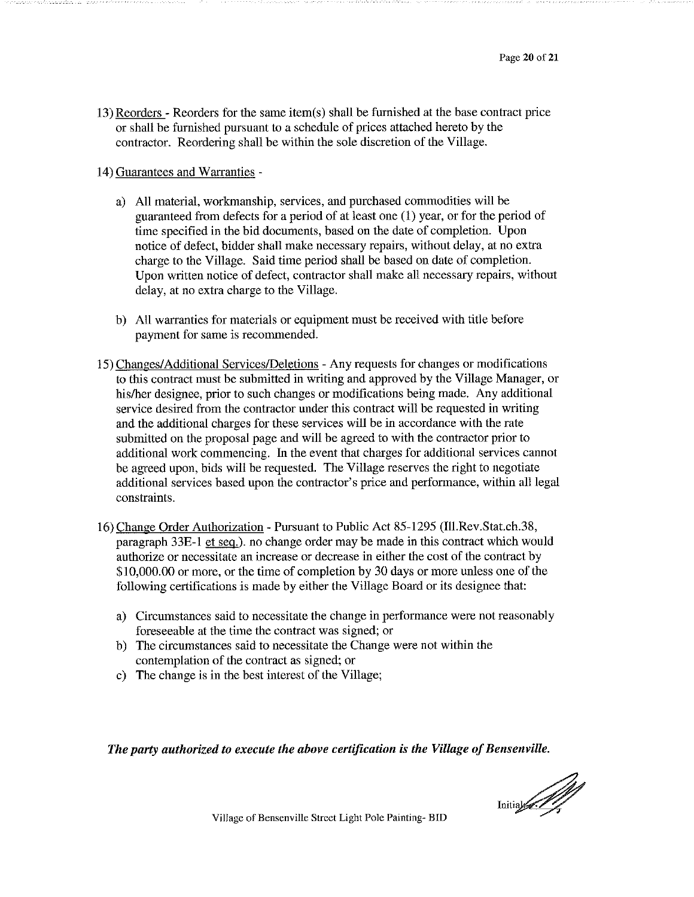13) Reorders - Reorders for the same item(s) shall be furnished at the base contract price or shall be furnished pursuant to a schedule of prices attached hereto by the contractor. Reordering shall be within the sole discretion of the Village.

14) Guarantees and Warranties -

- a) All material, workmanship, services, and purchased commodities will be guaranteed from defects for a period of at least one (1) year, or for the period of time specified in the bid documents, based on the date of completion. Upon notice of defect, bidder shall make necessary repairs, without delay, at no extra charge to the Village. Said time period shall be based on date of completion. Upon written notice of defect, contractor shall make all necessary repairs, without delay, at no extra charge to the Village.
- b) All warranties for materials or equipment must be received with title before payment for same is recommended.
- 15) Changes/Additional Services/Deletions Any requests for changes or modifications to this contract must be submitted in writing and approved by the Village Manager, or his/her designee, prior to such changes or modifications being made. Any additional service desired from the contractor under this contract will be requested in writing and the additional charges for these services will be in accordance with the rate submitted on the proposal page and will be agreed to with the contractor prior to additional work commencing. In the event that charges for additional services cannot be agreed upon, bids will be requested. The Village reserves the right to negotiate additional services based upon the contractor's price and performance, within all legal constraints.
- 16) Change Order Authorization Pursuant to Public Act 85-1295 (Ill.Rev.Stat.ch.38, paragraph 33E-1 et seq.). no change order may be made in this contract which would authorize or necessitate an increase or decrease in either the cost of the contract by \$10,000.00 or more, or the time of completion by 30 days or more unless one of the following certifications is made by either the Village Board or its designee that:
	- a) Circumstances said to necessitate the change in performance were not reasonably foreseeable at the time the contract was signed; or
	- b) The circumstances said to necessitate the Change were not within the contemplation of the contract as signed; or
	- c) The change is in the best interest of the Village;

The party authorized to execute the above certification is the Village of Bensenville.

Initial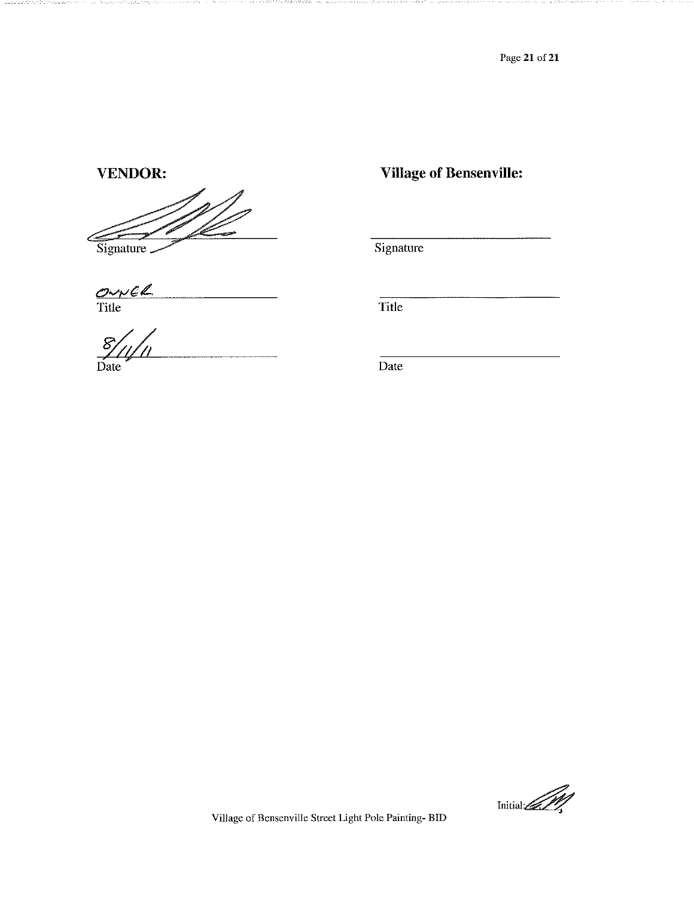Page 21 of 21

#### **VENDOR:**

Signature

127.

OWNER

 $\frac{8}{\text{Date}}$ 

**Village of Bensenville:** 

Signature

Title

Date

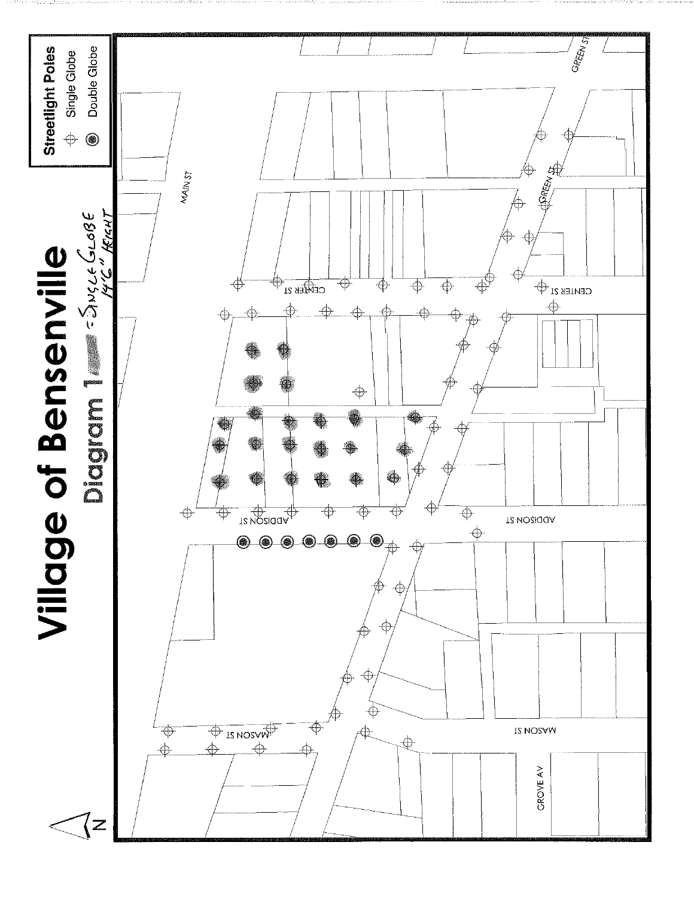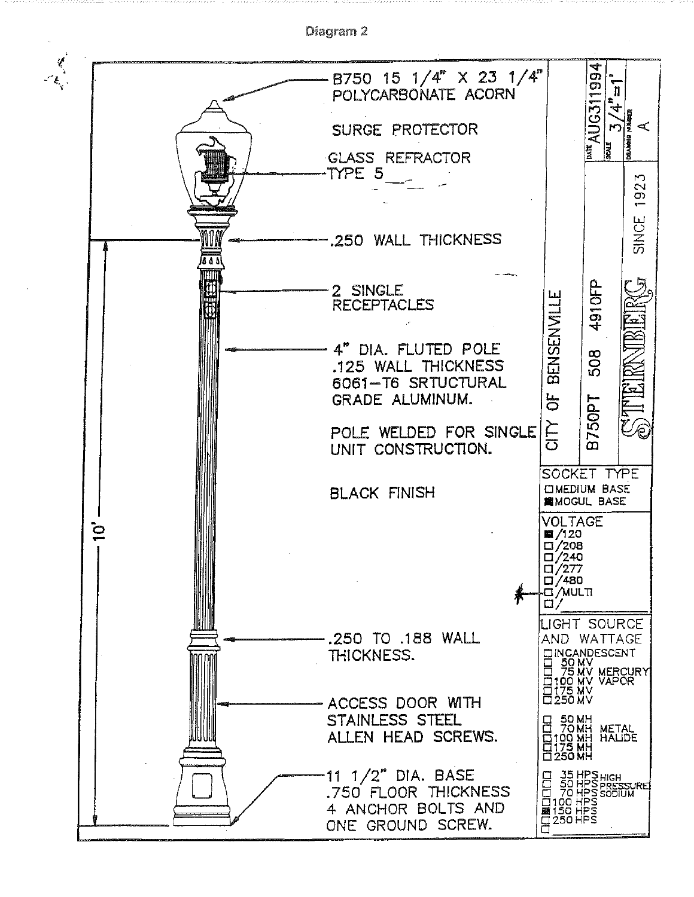

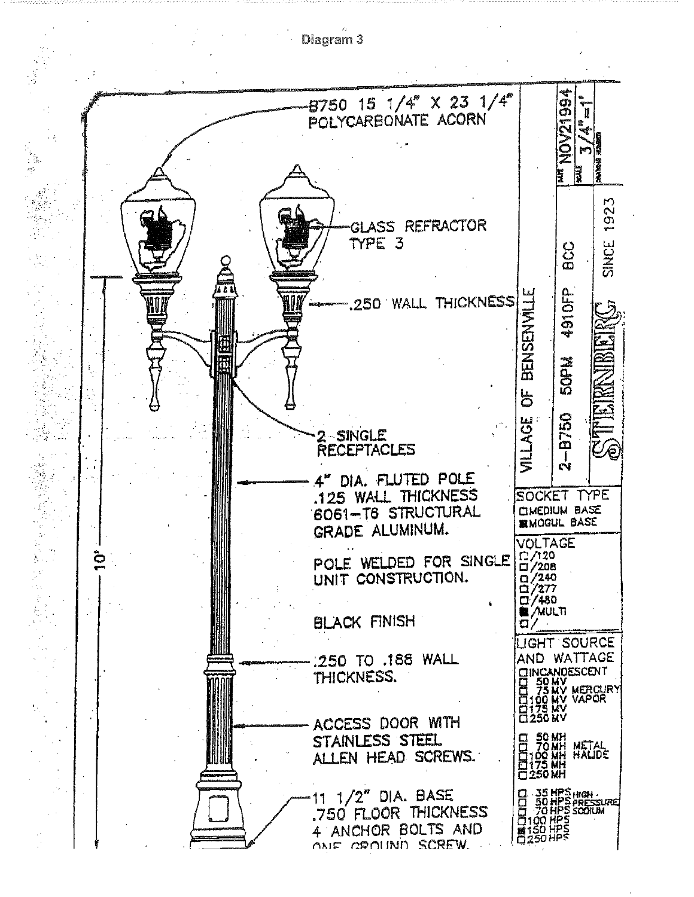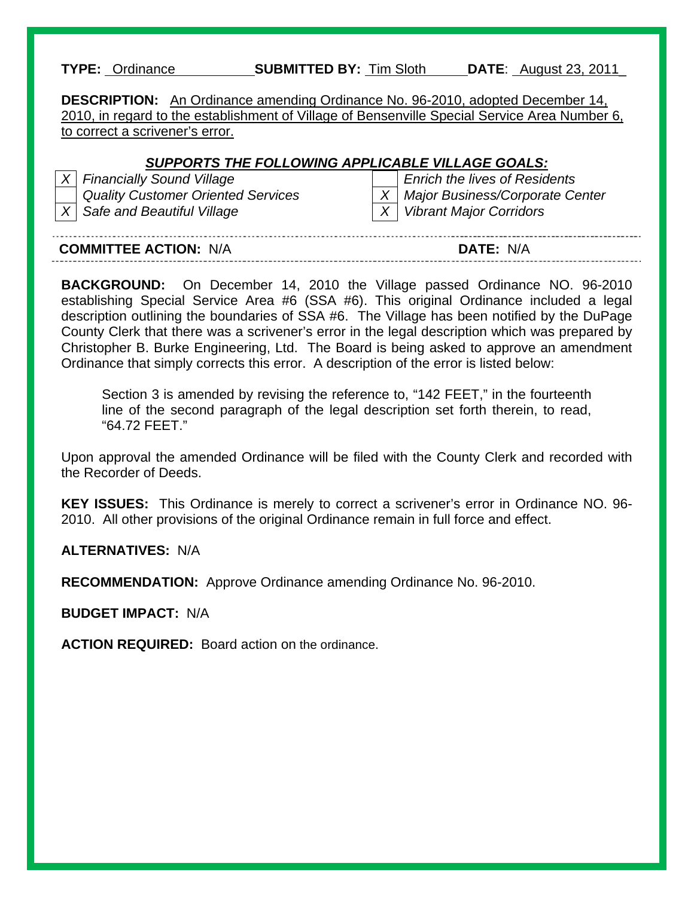| <b>SUBMITTED BY: Tim Sloth</b><br><b>TYPE: Ordinance</b><br><b>DATE:</b> August 23, 2011 |  |
|------------------------------------------------------------------------------------------|--|
|------------------------------------------------------------------------------------------|--|

**DESCRIPTION:** An Ordinance amending Ordinance No. 96-2010, adopted December 14, 2010, in regard to the establishment of Village of Bensenville Special Service Area Number 6, to correct a scrivener's error.

#### *SUPPORTS THE FOLLOWING APPLICABLE VILLAGE GOALS:*

| $X$ Financially S    |
|----------------------|
| <b>Quality Cust</b>  |
| $X \mid$ Safe and Be |

*X Financially Sound Village Enrich the lives of Residents bomer Oriented Services* X | *X | Major Business/Corporate Center X Safe and Beautiful Village X Vibrant Major Corridors* 

| <b>COMMITTEE ACTION:</b><br>N/A | N |
|---------------------------------|---|

**BACKGROUND:** On December 14, 2010 the Village passed Ordinance NO. 96-2010 establishing Special Service Area #6 (SSA #6). This original Ordinance included a legal description outlining the boundaries of SSA #6. The Village has been notified by the DuPage County Clerk that there was a scrivener's error in the legal description which was prepared by Christopher B. Burke Engineering, Ltd. The Board is being asked to approve an amendment Ordinance that simply corrects this error. A description of the error is listed below:

Section 3 is amended by revising the reference to, "142 FEET," in the fourteenth line of the second paragraph of the legal description set forth therein, to read, "64.72 FEET."

Upon approval the amended Ordinance will be filed with the County Clerk and recorded with the Recorder of Deeds.

**KEY ISSUES:** This Ordinance is merely to correct a scrivener's error in Ordinance NO. 96- 2010. All other provisions of the original Ordinance remain in full force and effect.

**ALTERNATIVES:** N/A

**RECOMMENDATION:** Approve Ordinance amending Ordinance No. 96-2010.

**BUDGET IMPACT:** N/A

**ACTION REQUIRED:** Board action on the ordinance.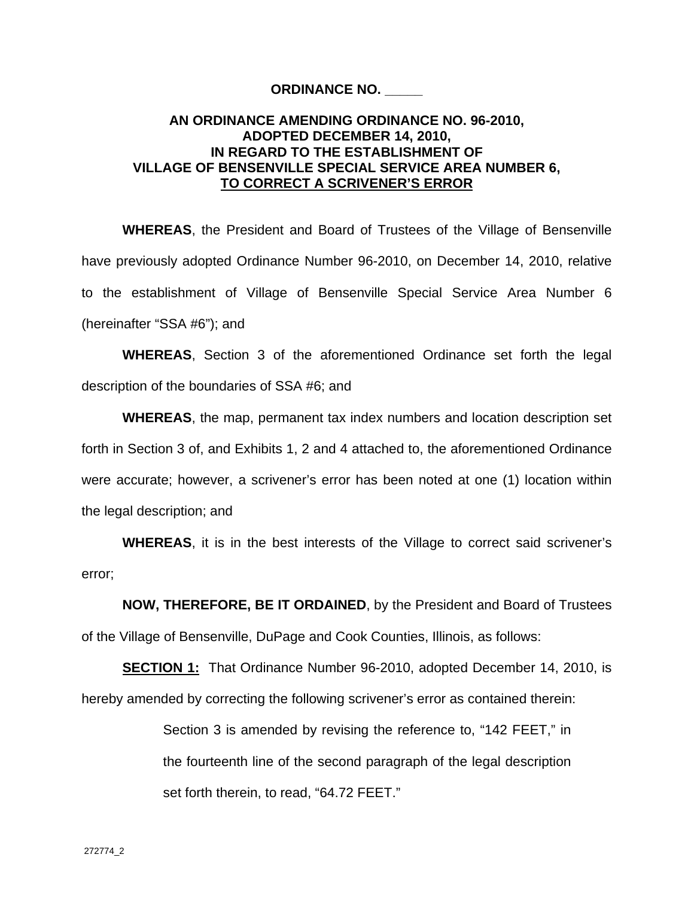#### **ORDINANCE NO. \_\_\_\_\_**

#### **AN ORDINANCE AMENDING ORDINANCE NO. 96-2010, ADOPTED DECEMBER 14, 2010, IN REGARD TO THE ESTABLISHMENT OF VILLAGE OF BENSENVILLE SPECIAL SERVICE AREA NUMBER 6, TO CORRECT A SCRIVENER'S ERROR**

**WHEREAS**, the President and Board of Trustees of the Village of Bensenville have previously adopted Ordinance Number 96-2010, on December 14, 2010, relative to the establishment of Village of Bensenville Special Service Area Number 6 (hereinafter "SSA #6"); and

**WHEREAS**, Section 3 of the aforementioned Ordinance set forth the legal description of the boundaries of SSA #6; and

**WHEREAS**, the map, permanent tax index numbers and location description set forth in Section 3 of, and Exhibits 1, 2 and 4 attached to, the aforementioned Ordinance were accurate; however, a scrivener's error has been noted at one (1) location within the legal description; and

**WHEREAS**, it is in the best interests of the Village to correct said scrivener's error;

**NOW, THEREFORE, BE IT ORDAINED**, by the President and Board of Trustees of the Village of Bensenville, DuPage and Cook Counties, Illinois, as follows:

**SECTION 1:** That Ordinance Number 96-2010, adopted December 14, 2010, is hereby amended by correcting the following scrivener's error as contained therein:

> Section 3 is amended by revising the reference to, "142 FEET," in the fourteenth line of the second paragraph of the legal description set forth therein, to read, "64.72 FEET."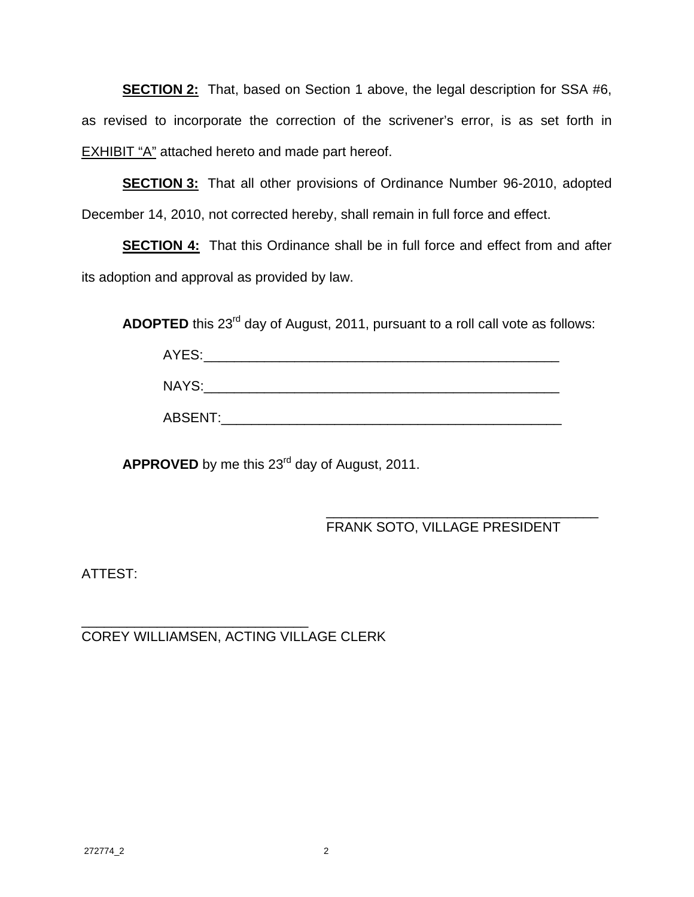**SECTION 2:** That, based on Section 1 above, the legal description for SSA #6, as revised to incorporate the correction of the scrivener's error, is as set forth in EXHIBIT "A" attached hereto and made part hereof.

**SECTION 3:** That all other provisions of Ordinance Number 96-2010, adopted December 14, 2010, not corrected hereby, shall remain in full force and effect.

**SECTION 4:** That this Ordinance shall be in full force and effect from and after its adoption and approval as provided by law.

ADOPTED this 23<sup>rd</sup> day of August, 2011, pursuant to a roll call vote as follows:

| __ |  |  |
|----|--|--|
|    |  |  |

| $\cdots$<br>.<br>.<br>-<br>______ |  |  |
|-----------------------------------|--|--|
|                                   |  |  |

| $\lambda$<br>$\cap$ $\cap$ $\Gamma$ $\lambda$ $\mid$ $\top$ |  |
|-------------------------------------------------------------|--|
|-------------------------------------------------------------|--|

**APPROVED** by me this 23rd day of August, 2011.

#### $\frac{1}{\sqrt{2\pi}}$  , which is a set of the set of the set of the set of the set of the set of the set of the set of the set of the set of the set of the set of the set of the set of the set of the set of the set of the set of FRANK SOTO, VILLAGE PRESIDENT

ATTEST:

\_\_\_\_\_\_\_\_\_\_\_\_\_\_\_\_\_\_\_\_\_\_\_\_\_\_\_\_\_\_ COREY WILLIAMSEN, ACTING VILLAGE CLERK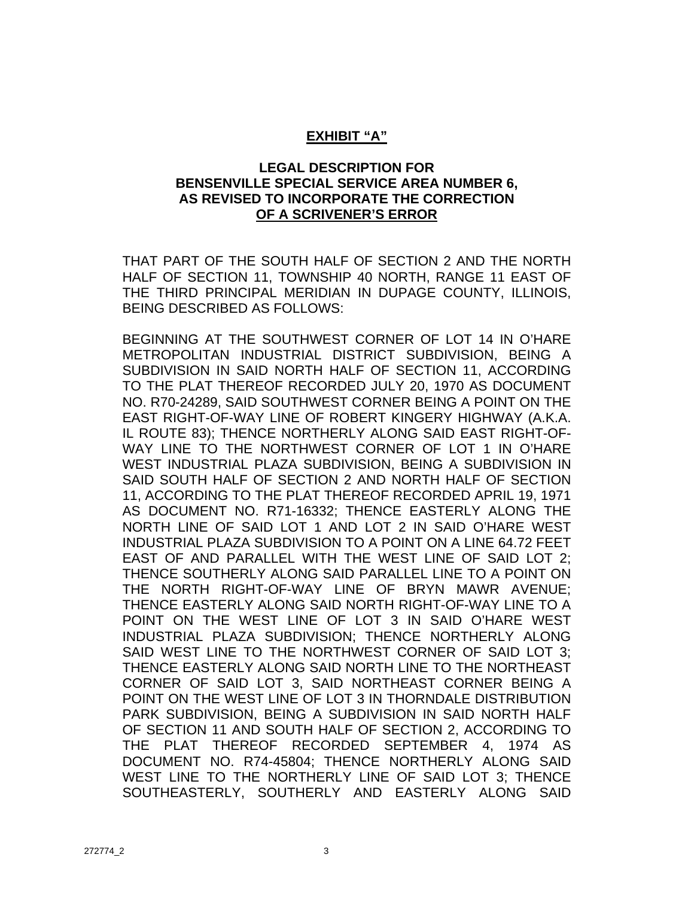#### **EXHIBIT "A"**

#### **LEGAL DESCRIPTION FOR BENSENVILLE SPECIAL SERVICE AREA NUMBER 6, AS REVISED TO INCORPORATE THE CORRECTION OF A SCRIVENER'S ERROR**

THAT PART OF THE SOUTH HALF OF SECTION 2 AND THE NORTH HALF OF SECTION 11, TOWNSHIP 40 NORTH, RANGE 11 EAST OF THE THIRD PRINCIPAL MERIDIAN IN DUPAGE COUNTY, ILLINOIS, BEING DESCRIBED AS FOLLOWS:

BEGINNING AT THE SOUTHWEST CORNER OF LOT 14 IN O'HARE METROPOLITAN INDUSTRIAL DISTRICT SUBDIVISION, BEING A SUBDIVISION IN SAID NORTH HALF OF SECTION 11, ACCORDING TO THE PLAT THEREOF RECORDED JULY 20, 1970 AS DOCUMENT NO. R70-24289, SAID SOUTHWEST CORNER BEING A POINT ON THE EAST RIGHT-OF-WAY LINE OF ROBERT KINGERY HIGHWAY (A.K.A. IL ROUTE 83); THENCE NORTHERLY ALONG SAID EAST RIGHT-OF-WAY LINE TO THE NORTHWEST CORNER OF LOT 1 IN O'HARE WEST INDUSTRIAL PLAZA SUBDIVISION, BEING A SUBDIVISION IN SAID SOUTH HALF OF SECTION 2 AND NORTH HALF OF SECTION 11, ACCORDING TO THE PLAT THEREOF RECORDED APRIL 19, 1971 AS DOCUMENT NO. R71-16332; THENCE EASTERLY ALONG THE NORTH LINE OF SAID LOT 1 AND LOT 2 IN SAID O'HARE WEST INDUSTRIAL PLAZA SUBDIVISION TO A POINT ON A LINE 64.72 FEET EAST OF AND PARALLEL WITH THE WEST LINE OF SAID LOT 2; THENCE SOUTHERLY ALONG SAID PARALLEL LINE TO A POINT ON THE NORTH RIGHT-OF-WAY LINE OF BRYN MAWR AVENUE; THENCE EASTERLY ALONG SAID NORTH RIGHT-OF-WAY LINE TO A POINT ON THE WEST LINE OF LOT 3 IN SAID O'HARE WEST INDUSTRIAL PLAZA SUBDIVISION; THENCE NORTHERLY ALONG SAID WEST LINE TO THE NORTHWEST CORNER OF SAID LOT 3; THENCE EASTERLY ALONG SAID NORTH LINE TO THE NORTHEAST CORNER OF SAID LOT 3, SAID NORTHEAST CORNER BEING A POINT ON THE WEST LINE OF LOT 3 IN THORNDALE DISTRIBUTION PARK SUBDIVISION, BEING A SUBDIVISION IN SAID NORTH HALF OF SECTION 11 AND SOUTH HALF OF SECTION 2, ACCORDING TO THE PLAT THEREOF RECORDED SEPTEMBER 4, 1974 AS DOCUMENT NO. R74-45804; THENCE NORTHERLY ALONG SAID WEST LINE TO THE NORTHERLY LINE OF SAID LOT 3; THENCE SOUTHEASTERLY, SOUTHERLY AND EASTERLY ALONG SAID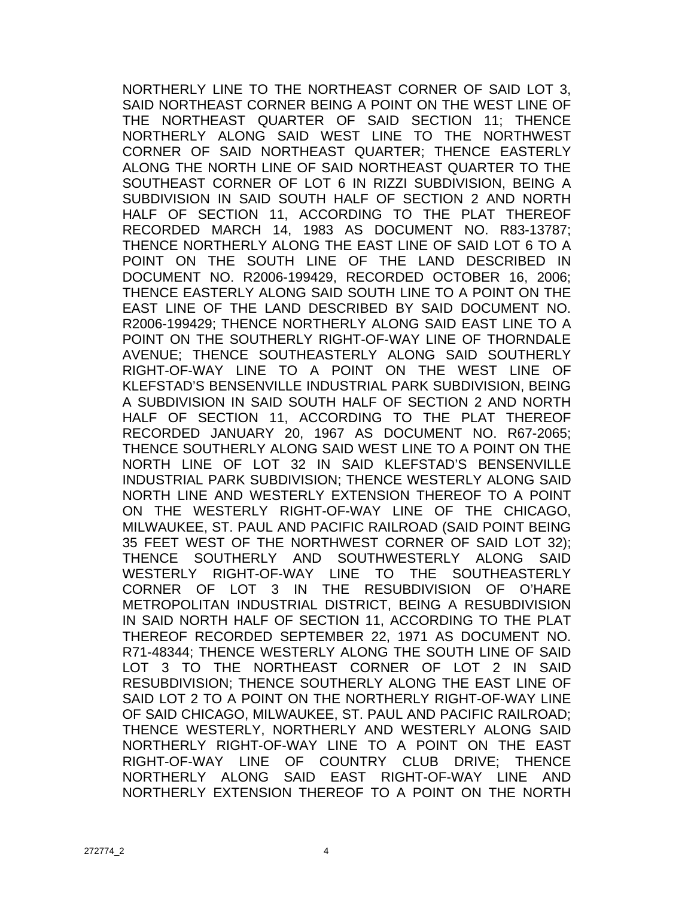NORTHERLY LINE TO THE NORTHEAST CORNER OF SAID LOT 3, SAID NORTHEAST CORNER BEING A POINT ON THE WEST LINE OF THE NORTHEAST QUARTER OF SAID SECTION 11; THENCE NORTHERLY ALONG SAID WEST LINE TO THE NORTHWEST CORNER OF SAID NORTHEAST QUARTER; THENCE EASTERLY ALONG THE NORTH LINE OF SAID NORTHEAST QUARTER TO THE SOUTHEAST CORNER OF LOT 6 IN RIZZI SUBDIVISION, BEING A SUBDIVISION IN SAID SOUTH HALF OF SECTION 2 AND NORTH HALF OF SECTION 11, ACCORDING TO THE PLAT THEREOF RECORDED MARCH 14, 1983 AS DOCUMENT NO. R83-13787; THENCE NORTHERLY ALONG THE EAST LINE OF SAID LOT 6 TO A POINT ON THE SOUTH LINE OF THE LAND DESCRIBED IN DOCUMENT NO. R2006-199429, RECORDED OCTOBER 16, 2006; THENCE EASTERLY ALONG SAID SOUTH LINE TO A POINT ON THE EAST LINE OF THE LAND DESCRIBED BY SAID DOCUMENT NO. R2006-199429; THENCE NORTHERLY ALONG SAID EAST LINE TO A POINT ON THE SOUTHERLY RIGHT-OF-WAY LINE OF THORNDALE AVENUE; THENCE SOUTHEASTERLY ALONG SAID SOUTHERLY RIGHT-OF-WAY LINE TO A POINT ON THE WEST LINE OF KLEFSTAD'S BENSENVILLE INDUSTRIAL PARK SUBDIVISION, BEING A SUBDIVISION IN SAID SOUTH HALF OF SECTION 2 AND NORTH HALF OF SECTION 11, ACCORDING TO THE PLAT THEREOF RECORDED JANUARY 20, 1967 AS DOCUMENT NO. R67-2065; THENCE SOUTHERLY ALONG SAID WEST LINE TO A POINT ON THE NORTH LINE OF LOT 32 IN SAID KLEFSTAD'S BENSENVILLE INDUSTRIAL PARK SUBDIVISION; THENCE WESTERLY ALONG SAID NORTH LINE AND WESTERLY EXTENSION THEREOF TO A POINT ON THE WESTERLY RIGHT-OF-WAY LINE OF THE CHICAGO, MILWAUKEE, ST. PAUL AND PACIFIC RAILROAD (SAID POINT BEING 35 FEET WEST OF THE NORTHWEST CORNER OF SAID LOT 32); THENCE SOUTHERLY AND SOUTHWESTERLY ALONG SAID WESTERLY RIGHT-OF-WAY LINE TO THE SOUTHEASTERLY CORNER OF LOT 3 IN THE RESUBDIVISION OF O'HARE METROPOLITAN INDUSTRIAL DISTRICT, BEING A RESUBDIVISION IN SAID NORTH HALF OF SECTION 11, ACCORDING TO THE PLAT THEREOF RECORDED SEPTEMBER 22, 1971 AS DOCUMENT NO. R71-48344; THENCE WESTERLY ALONG THE SOUTH LINE OF SAID LOT 3 TO THE NORTHEAST CORNER OF LOT 2 IN SAID RESUBDIVISION; THENCE SOUTHERLY ALONG THE EAST LINE OF SAID LOT 2 TO A POINT ON THE NORTHERLY RIGHT-OF-WAY LINE OF SAID CHICAGO, MILWAUKEE, ST. PAUL AND PACIFIC RAILROAD; THENCE WESTERLY, NORTHERLY AND WESTERLY ALONG SAID NORTHERLY RIGHT-OF-WAY LINE TO A POINT ON THE EAST RIGHT-OF-WAY LINE OF COUNTRY CLUB DRIVE; THENCE NORTHERLY ALONG SAID EAST RIGHT-OF-WAY LINE AND NORTHERLY EXTENSION THEREOF TO A POINT ON THE NORTH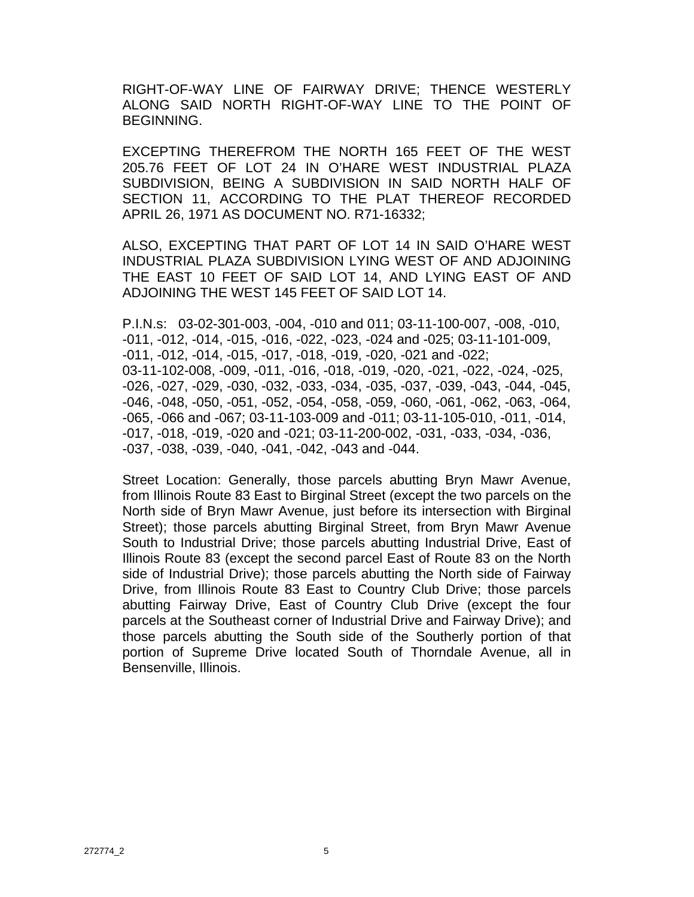RIGHT-OF-WAY LINE OF FAIRWAY DRIVE; THENCE WESTERLY ALONG SAID NORTH RIGHT-OF-WAY LINE TO THE POINT OF BEGINNING.

EXCEPTING THEREFROM THE NORTH 165 FEET OF THE WEST 205.76 FEET OF LOT 24 IN O'HARE WEST INDUSTRIAL PLAZA SUBDIVISION, BEING A SUBDIVISION IN SAID NORTH HALF OF SECTION 11, ACCORDING TO THE PLAT THEREOF RECORDED APRIL 26, 1971 AS DOCUMENT NO. R71-16332;

ALSO, EXCEPTING THAT PART OF LOT 14 IN SAID O'HARE WEST INDUSTRIAL PLAZA SUBDIVISION LYING WEST OF AND ADJOINING THE EAST 10 FEET OF SAID LOT 14, AND LYING EAST OF AND ADJOINING THE WEST 145 FEET OF SAID LOT 14.

P.I.N.s: 03-02-301-003, -004, -010 and 011; 03-11-100-007, -008, -010, -011, -012, -014, -015, -016, -022, -023, -024 and -025; 03-11-101-009, -011, -012, -014, -015, -017, -018, -019, -020, -021 and -022; 03-11-102-008, -009, -011, -016, -018, -019, -020, -021, -022, -024, -025, -026, -027, -029, -030, -032, -033, -034, -035, -037, -039, -043, -044, -045, -046, -048, -050, -051, -052, -054, -058, -059, -060, -061, -062, -063, -064, -065, -066 and -067; 03-11-103-009 and -011; 03-11-105-010, -011, -014, -017, -018, -019, -020 and -021; 03-11-200-002, -031, -033, -034, -036, -037, -038, -039, -040, -041, -042, -043 and -044.

Street Location: Generally, those parcels abutting Bryn Mawr Avenue, from Illinois Route 83 East to Birginal Street (except the two parcels on the North side of Bryn Mawr Avenue, just before its intersection with Birginal Street); those parcels abutting Birginal Street, from Bryn Mawr Avenue South to Industrial Drive; those parcels abutting Industrial Drive, East of Illinois Route 83 (except the second parcel East of Route 83 on the North side of Industrial Drive); those parcels abutting the North side of Fairway Drive, from Illinois Route 83 East to Country Club Drive; those parcels abutting Fairway Drive, East of Country Club Drive (except the four parcels at the Southeast corner of Industrial Drive and Fairway Drive); and those parcels abutting the South side of the Southerly portion of that portion of Supreme Drive located South of Thorndale Avenue, all in Bensenville, Illinois.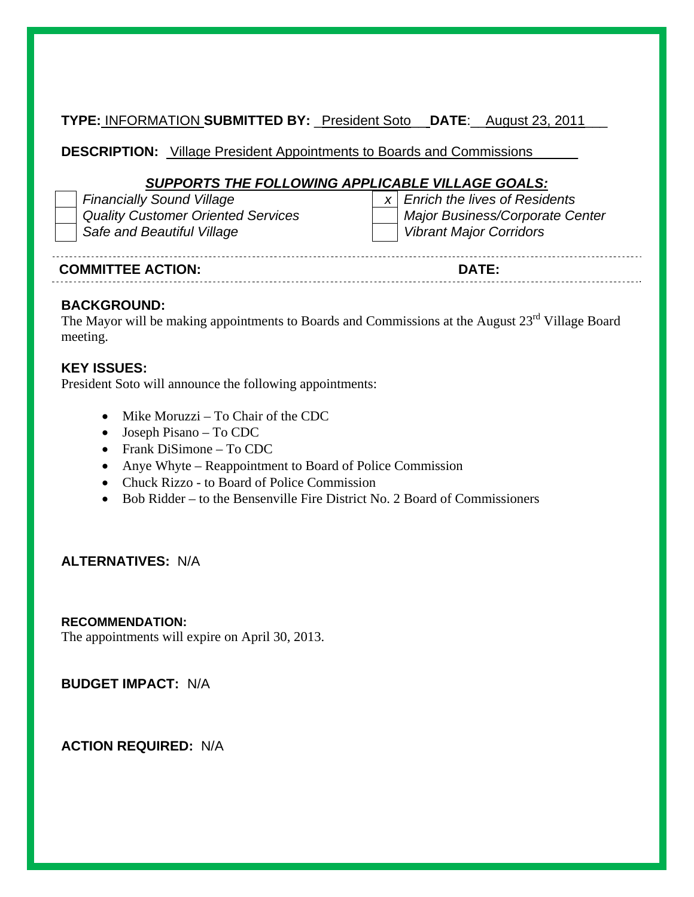**TYPE:** INFORMATION **SUBMITTED BY:** \_President Soto\_\_ **DATE**:\_\_August 23, 2011\_\_\_

**DESCRIPTION:** Village President Appointments to Boards and Commissions\_\_\_\_\_\_

#### *SUPPORTS THE FOLLOWING APPLICABLE VILLAGE GOALS:*

| <b>Financially Sound Village</b>          | $x \mid$ Enrich the lives of Residents |
|-------------------------------------------|----------------------------------------|
| <b>Quality Customer Oriented Services</b> | Major Business/Corporate Center        |
| Safe and Beautiful Village                | Vibrant Major Corridors                |

| --------                 |           |
|--------------------------|-----------|
| <b>COMMITTEE ACTION:</b> | --<br>∩∆' |

#### **BACKGROUND:**

The Mayor will be making appointments to Boards and Commissions at the August 23<sup>rd</sup> Village Board meeting.

#### **KEY ISSUES:**

President Soto will announce the following appointments:

- $\bullet$  Mike Moruzzi To Chair of the CDC
- Joseph Pisano To CDC
- Frank DiSimone To CDC
- Anye Whyte Reappointment to Board of Police Commission
- Chuck Rizzo to Board of Police Commission
- Bob Ridder to the Bensenville Fire District No. 2 Board of Commissioners

#### **ALTERNATIVES:** N/A

#### **RECOMMENDATION:**

The appointments will expire on April 30, 2013.

**BUDGET IMPACT:** N/A

**ACTION REQUIRED:** N/A